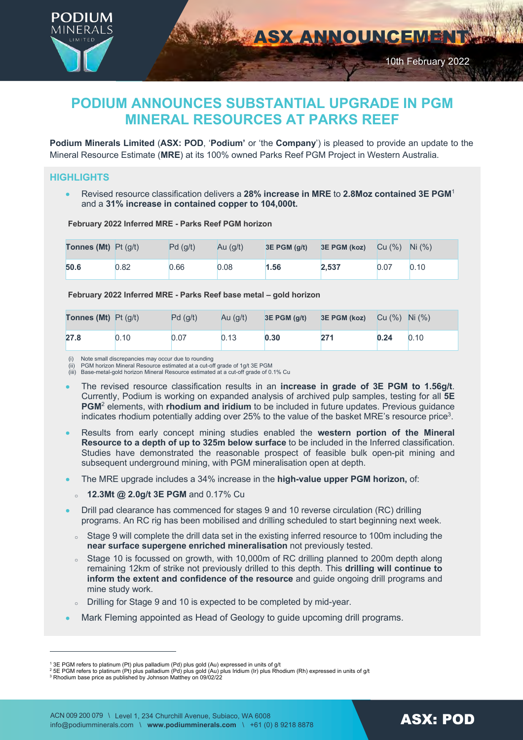

# **PODIUM ANNOUNCES SUBSTANTIAL UPGRADE IN PGM MINERAL RESOURCES AT PARKS REEF**

**Podium Minerals Limited** (**ASX: POD**, '**Podium'** or 'the **Company**') is pleased to provide an update to the Mineral Resource Estimate (**MRE**) at its 100% owned Parks Reef PGM Project in Western Australia.

# **HIGHLIGHTS**

• Revised resource classification delivers a **28% increase in MRE** to **2.8Moz contained 3E PGM**<sup>1</sup> and a **31% increase in contained copper to 104,000t.**

**February 2022 Inferred MRE - Parks Reef PGM horizon**

| <b>Tonnes (Mt)</b> $Pt( q/t)$ |      | Pd(g/t) | Au $(q/t)$ | $3E$ PGM $(q/t)$ | 3E PGM (koz) | Cu $(\%)$ Ni $(\%)$ |      |
|-------------------------------|------|---------|------------|------------------|--------------|---------------------|------|
| 50.6                          | 0.82 | 0.66    | 0.08       | 1.56             | 2.537        | 0.07                | 0.10 |

**February 2022 Inferred MRE - Parks Reef base metal – gold horizon**

| <b>Tonnes (Mt)</b> $Pt$ (g/t) |      | Pd(q/t) | Au $(q/t)$ | $3E$ PGM $(q/t)$ | <b>3E PGM (koz)</b> $Cu (%)$ Ni $(\%)$ |      |      |
|-------------------------------|------|---------|------------|------------------|----------------------------------------|------|------|
| 27.8                          | 0.10 | 0.07    | 0.13       | 0.30             | 271                                    | 0.24 | 0.10 |

(i) Note small discrepancies may occur due to rounding (ii) PGM horizon Mineral Resource estimated at a cut-off grade of 1g/t 3E PGM

(iii) Base-metal-gold horizon Mineral Resource estimated at a cut-off grade of 0.1% Cu

- The revised resource classification results in an **increase in grade of 3E PGM to 1.56g/t**. Currently, Podium is working on expanded analysis of archived pulp samples, testing for all **5E PGM**<sup>2</sup> elements, with **rhodium and iridium** to be included in future updates. Previous guidance indicates rhodium potentially adding over  $25%$  to the value of the basket MRE's resource price<sup>3</sup>.
- Results from early concept mining studies enabled the **western portion of the Mineral Resource to a depth of up to 325m below surface** to be included in the Inferred classification. Studies have demonstrated the reasonable prospect of feasible bulk open-pit mining and subsequent underground mining, with PGM mineralisation open at depth.
- The MRE upgrade includes a 34% increase in the **high-value upper PGM horizon,** of:
	- <sup>o</sup> **12.3Mt @ 2.0g/t 3E PGM** and 0.17% Cu
- Drill pad clearance has commenced for stages 9 and 10 reverse circulation (RC) drilling programs. An RC rig has been mobilised and drilling scheduled to start beginning next week.
- o Stage 9 will complete the drill data set in the existing inferred resource to 100m including the **near surface supergene enriched mineralisation** not previously tested.
- o Stage 10 is focussed on growth, with 10,000m of RC drilling planned to 200m depth along remaining 12km of strike not previously drilled to this depth. This **drilling will continue to inform the extent and confidence of the resource** and guide ongoing drill programs and mine study work.
- <sup>o</sup> Drilling for Stage 9 and 10 is expected to be completed by mid-year.
- Mark Fleming appointed as Head of Geology to guide upcoming drill programs.

<sup>&</sup>lt;sup>1</sup> 3E PGM refers to platinum (Pt) plus palladium (Pd) plus gold (Au) expressed in units of g/t<br><sup>2</sup> 5E PGM refers to platinum (Pt) plus palladium (Pd) plus gold (Au) plus Iridium (Ir) plus Rhodium (Rh) expressed in units o

<sup>&</sup>lt;sup>3</sup> Rhodium base price as published by Johnson Matthey on 09/02/22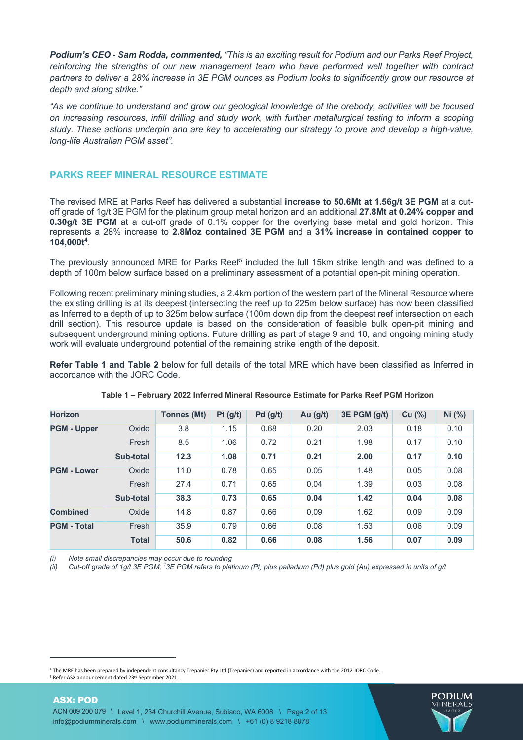*Podium's CEO - Sam Rodda, commented, "This is an exciting result for Podium and our Parks Reef Project, reinforcing the strengths of our new management team who have performed well together with contract partners to deliver a 28% increase in 3E PGM ounces as Podium looks to significantly grow our resource at depth and along strike."*

*"As we continue to understand and grow our geological knowledge of the orebody, activities will be focused on increasing resources, infill drilling and study work, with further metallurgical testing to inform a scoping study. These actions underpin and are key to accelerating our strategy to prove and develop a high-value, long-life Australian PGM asset".*

# **PARKS REEF MINERAL RESOURCE ESTIMATE**

The revised MRE at Parks Reef has delivered a substantial **increase to 50.6Mt at 1.56g/t 3E PGM** at a cutoff grade of 1g/t 3E PGM for the platinum group metal horizon and an additional **27.8Mt at 0.24% copper and 0.30g/t 3E PGM** at a cut-off grade of 0.1% copper for the overlying base metal and gold horizon. This represents a 28% increase to **2.8Moz contained 3E PGM** and a **31% increase in contained copper to 104,000t4**.

The previously announced MRE for Parks Reef<sup>5</sup> included the full 15km strike length and was defined to a depth of 100m below surface based on a preliminary assessment of a potential open-pit mining operation.

Following recent preliminary mining studies, a 2.4km portion of the western part of the Mineral Resource where the existing drilling is at its deepest (intersecting the reef up to 225m below surface) has now been classified as Inferred to a depth of up to 325m below surface (100m down dip from the deepest reef intersection on each drill section). This resource update is based on the consideration of feasible bulk open-pit mining and subsequent underground mining options. Future drilling as part of stage 9 and 10, and ongoing mining study work will evaluate underground potential of the remaining strike length of the deposit.

**Refer Table 1 and Table 2** below for full details of the total MRE which have been classified as Inferred in accordance with the JORC Code.

| <b>Horizon</b>     |              | <b>Tonnes (Mt)</b> | Pt(g/t) | Pd(g/t) | Au $(g/t)$ | 3E PGM (g/t) | Cu (%) | Ni (%) |
|--------------------|--------------|--------------------|---------|---------|------------|--------------|--------|--------|
| <b>PGM - Upper</b> | Oxide        | 3.8                | 1.15    | 0.68    | 0.20       | 2.03         | 0.18   | 0.10   |
|                    | Fresh        | 8.5                | 1.06    | 0.72    | 0.21       | 1.98         | 0.17   | 0.10   |
|                    | Sub-total    | 12.3               | 1.08    | 0.71    | 0.21       | 2.00         | 0.17   | 0.10   |
| <b>PGM - Lower</b> | Oxide        | 11.0               | 0.78    | 0.65    | 0.05       | 1.48         | 0.05   | 0.08   |
|                    | Fresh        | 27.4               | 0.71    | 0.65    | 0.04       | 1.39         | 0.03   | 0.08   |
|                    | Sub-total    | 38.3               | 0.73    | 0.65    | 0.04       | 1.42         | 0.04   | 0.08   |
| <b>Combined</b>    | Oxide        | 14.8               | 0.87    | 0.66    | 0.09       | 1.62         | 0.09   | 0.09   |
| <b>PGM - Total</b> | Fresh        | 35.9               | 0.79    | 0.66    | 0.08       | 1.53         | 0.06   | 0.09   |
|                    | <b>Total</b> | 50.6               | 0.82    | 0.66    | 0.08       | 1.56         | 0.07   | 0.09   |

#### **Table 1 – February 2022 Inferred Mineral Resource Estimate for Parks Reef PGM Horizon**

*(i) Note small discrepancies may occur due to rounding*

ASX: POD

*(ii) Cut-off grade of 1g/t 3E PGM; 1 3E PGM refers to platinum (Pt) plus palladium (Pd) plus gold (Au) expressed in units of g/t*



<sup>4</sup> The MRE has been prepared by independent consultancy Trepanier Pty Ltd (Trepanier) and reported in accordance with the 2012 JORC Code. <sup>5</sup> Refer ASX announcement dated 23rd September 2021.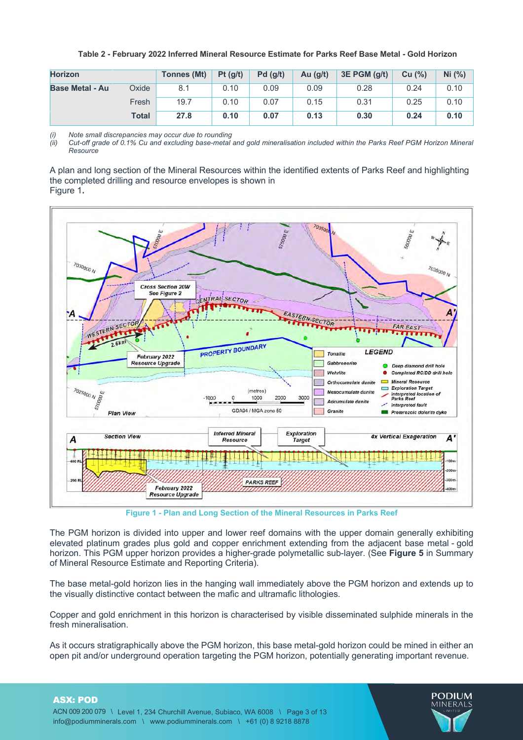| <b>Horizon</b>         |              | Tonnes (Mt) | Pt(g/t) | Pd(g/t) | Au $(g/t)$ | $3E$ PGM $(g/t)$ | Cu (%) | Ni (%) |
|------------------------|--------------|-------------|---------|---------|------------|------------------|--------|--------|
| <b>Base Metal - Au</b> | Oxide        | 8.1         | 0.10    | 0.09    | 0.09       | 0.28             | 0.24   | 0.10   |
|                        | Fresh        | 19.7        | 0.10    | 0.07    | 0.15       | 0.31             | 0.25   | 0.10   |
|                        | <b>Total</b> | 27.8        | 0.10    | 0.07    | 0.13       | 0.30             | 0.24   | 0.10   |

#### **Table 2 - February 2022 Inferred Mineral Resource Estimate for Parks Reef Base Metal - Gold Horizon**

*(i) Note small discrepancies may occur due to rounding*

*(ii) Cut-off grade of 0.1% Cu and excluding base-metal and gold mineralisation included within the Parks Reef PGM Horizon Mineral Resource*

A plan and long section of the Mineral Resources within the identified extents of Parks Reef and highlighting the completed drilling and resource envelopes is shown in Figure 1**.**



**Figure 1 - Plan and Long Section of the Mineral Resources in Parks Reef**

The PGM horizon is divided into upper and lower reef domains with the upper domain generally exhibiting elevated platinum grades plus gold and copper enrichment extending from the adjacent base metal - gold horizon. This PGM upper horizon provides a higher-grade polymetallic sub-layer. (See **Figure 5** in Summary of Mineral Resource Estimate and Reporting Criteria).

The base metal-gold horizon lies in the hanging wall immediately above the PGM horizon and extends up to the visually distinctive contact between the mafic and ultramafic lithologies.

Copper and gold enrichment in this horizon is characterised by visible disseminated sulphide minerals in the fresh mineralisation.

As it occurs stratigraphically above the PGM horizon, this base metal-gold horizon could be mined in either an open pit and/or underground operation targeting the PGM horizon, potentially generating important revenue.

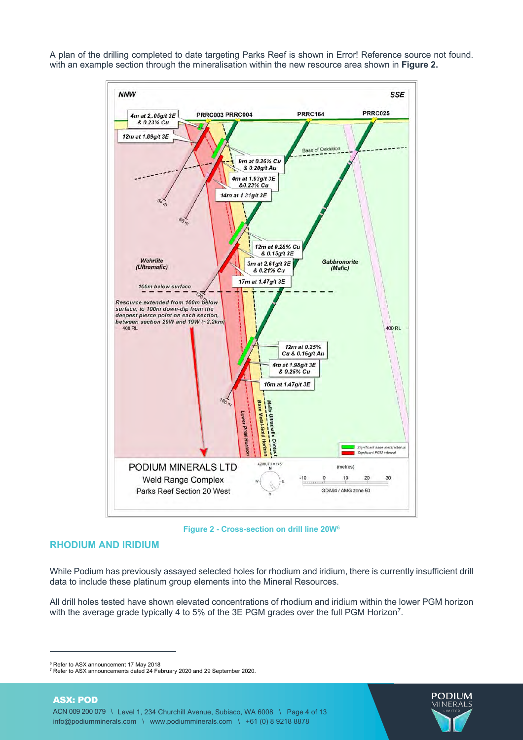A plan of the drilling completed to date targeting Parks Reef is shown in Error! Reference source not found. with an example section through the mineralisation within the new resource area shown in **Figure 2.**



**Figure 2 - Cross-section on drill line 20W6**

# **RHODIUM AND IRIDIUM**

While Podium has previously assayed selected holes for rhodium and iridium, there is currently insufficient drill data to include these platinum group elements into the Mineral Resources.

All drill holes tested have shown elevated concentrations of rhodium and iridium within the lower PGM horizon with the average grade typically 4 to 5% of the 3E PGM grades over the full PGM Horizon<sup>7</sup>.



<sup>&</sup>lt;sup>6</sup> Refer to ASX announcement 17 May 2018<br><sup>7</sup> Refer to ASX announcements dated 24 February 2020 and 29 September 2020.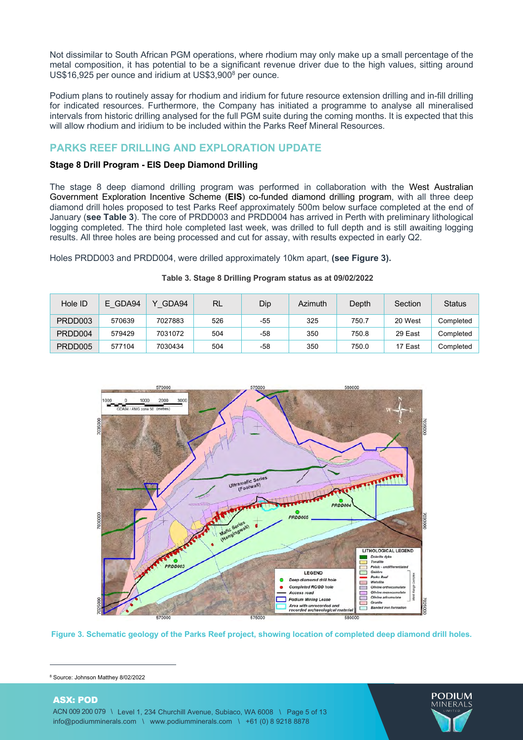Not dissimilar to South African PGM operations, where rhodium may only make up a small percentage of the metal composition, it has potential to be a significant revenue driver due to the high values, sitting around US\$16,925 per ounce and iridium at US\$3,900<sup>8</sup> per ounce.

Podium plans to routinely assay for rhodium and iridium for future resource extension drilling and in-fill drilling for indicated resources. Furthermore, the Company has initiated a programme to analyse all mineralised intervals from historic drilling analysed for the full PGM suite during the coming months. It is expected that this will allow rhodium and iridium to be included within the Parks Reef Mineral Resources.

# **PARKS REEF DRILLING AND EXPLORATION UPDATE**

# **Stage 8 Drill Program - EIS Deep Diamond Drilling**

The stage 8 deep diamond drilling program was performed in collaboration with the West Australian Government Exploration Incentive Scheme (**EIS**) co-funded diamond drilling program, with all three deep diamond drill holes proposed to test Parks Reef approximately 500m below surface completed at the end of January (**see Table 3**). The core of PRDD003 and PRDD004 has arrived in Perth with preliminary lithological logging completed. The third hole completed last week, was drilled to full depth and is still awaiting logging results. All three holes are being processed and cut for assay, with results expected in early Q2.

Holes PRDD003 and PRDD004, were drilled approximately 10km apart, **(see Figure 3).**

| Hole ID | E GDA94 | GDA94<br>v | <b>RL</b> | Dip | Azimuth | Depth | Section | <b>Status</b> |
|---------|---------|------------|-----------|-----|---------|-------|---------|---------------|
| PRDD003 | 570639  | 7027883    | 526       | -55 | 325     | 750.7 | 20 West | Completed     |
| PRDD004 | 579429  | 7031072    | 504       | -58 | 350     | 750.8 | 29 East | Completed     |
| PRDD005 | 577104  | 7030434    | 504       | -58 | 350     | 750.0 | 17 East | Completed     |

# **Table 3. Stage 8 Drilling Program status as at 09/02/2022**



**Figure 3. Schematic geology of the Parks Reef project, showing location of completed deep diamond drill holes.**

<sup>8</sup> Source: Johnson Matthey 8/02/2022

# ASX: POD ACN 009 200 079 \ Level 1, 234 Churchill Avenue, Subiaco, WA 6008 \ Page 5 of 13 info@podiumminerals.com \ www.podiumminerals.com \ +61 (0) 8 9218 8878

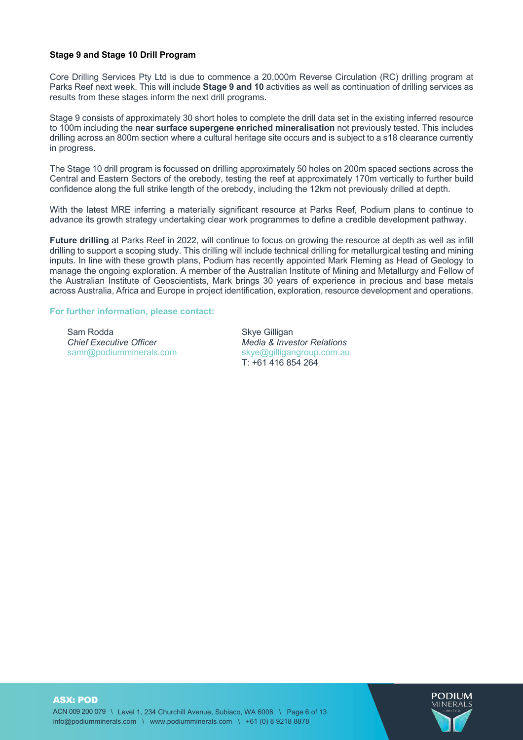#### **Stage 9 and Stage 10 Drill Program**

Core Drilling Services Pty Ltd is due to commence a 20,000m Reverse Circulation (RC) drilling program at Parks Reef next week. This will include **Stage 9 and 10** activities as well as continuation of drilling services as results from these stages inform the next drill programs.

Stage 9 consists of approximately 30 short holes to complete the drill data set in the existing inferred resource to 100m including the **near surface supergene enriched mineralisation** not previously tested. This includes drilling across an 800m section where a cultural heritage site occurs and is subject to a s18 clearance currently in progress.

The Stage 10 drill program is focussed on drilling approximately 50 holes on 200m spaced sections across the Central and Eastern Sectors of the orebody, testing the reef at approximately 170m vertically to further build confidence along the full strike length of the orebody, including the 12km not previously drilled at depth.

With the latest MRE inferring a materially significant resource at Parks Reef. Podium plans to continue to advance its growth strategy undertaking clear work programmes to define a credible development pathway.

**Future drilling** at Parks Reef in 2022, will continue to focus on growing the resource at depth as well as infill drilling to support a scoping study. This drilling will include technical drilling for metallurgical testing and mining inputs. In line with these growth plans, Podium has recently appointed Mark Fleming as Head of Geology to manage the ongoing exploration. A member of the Australian Institute of Mining and Metallurgy and Fellow of the Australian Institute of Geoscientists, Mark brings 30 years of experience in precious and base metals across Australia, Africa and Europe in project identification, exploration, resource development and operations.

#### **For further information, please contact:**

Sam Rodda *Chief Executive Officer* samr@podiumminerals.com

Skye Gilligan *Media & Investor Relations* skye@gilligangroup.com.au T: +61 416 854 264

ASX: POD ACN 009 200 079 \ Level 1, 234 Churchill Avenue, Subiaco, WA 6008 \ Page 6 of 13 info@podiumminerals.com \ www.podiumminerals.com \ +61 (0) 8 9218 8878

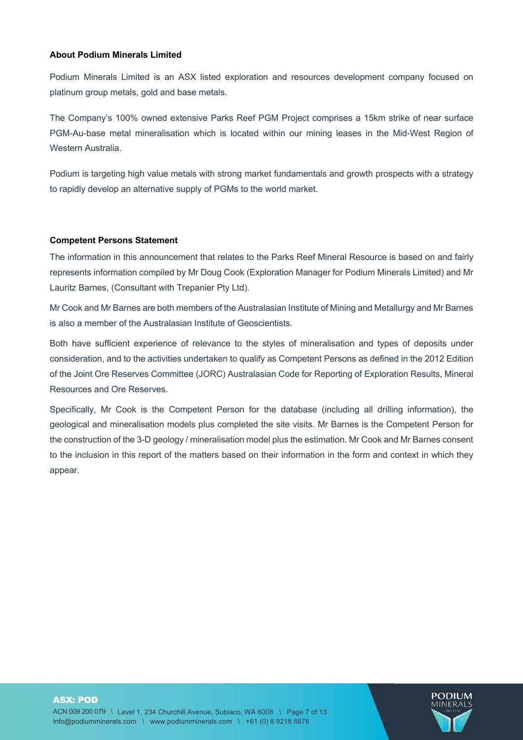# **About Podium Minerals Limited**

Podium Minerals Limited is an ASX listed exploration and resources development company focused on platinum group metals, gold and base metals.

The Company's 100% owned extensive Parks Reef PGM Project comprises a 15km strike of near surface PGM-Au-base metal mineralisation which is located within our mining leases in the Mid-West Region of Western Australia.

Podium is targeting high value metals with strong market fundamentals and growth prospects with a strategy to rapidly develop an alternative supply of PGMs to the world market.

#### **Competent Persons Statement**

The information in this announcement that relates to the Parks Reef Mineral Resource is based on and fairly represents information compiled by Mr Doug Cook (Exploration Manager for Podium Minerals Limited) and Mr Lauritz Barnes, (Consultant with Trepanier Pty Ltd).

Mr Cook and Mr Barnes are both members of the Australasian Institute of Mining and Metallurgy and Mr Barnes is also a member of the Australasian Institute of Geoscientists.

Both have sufficient experience of relevance to the styles of mineralisation and types of deposits under consideration, and to the activities undertaken to qualify as Competent Persons as defined in the 2012 Edition of the Joint Ore Reserves Committee (JORC) Australasian Code for Reporting of Exploration Results, Mineral Resources and Ore Reserves.

Specifically, Mr Cook is the Competent Person for the database (including all drilling information), the geological and mineralisation models plus completed the site visits. Mr Barnes is the Competent Person for the construction of the 3-D geology / mineralisation model plus the estimation. Mr Cook and Mr Barnes consent to the inclusion in this report of the matters based on their information in the form and context in which they appear.

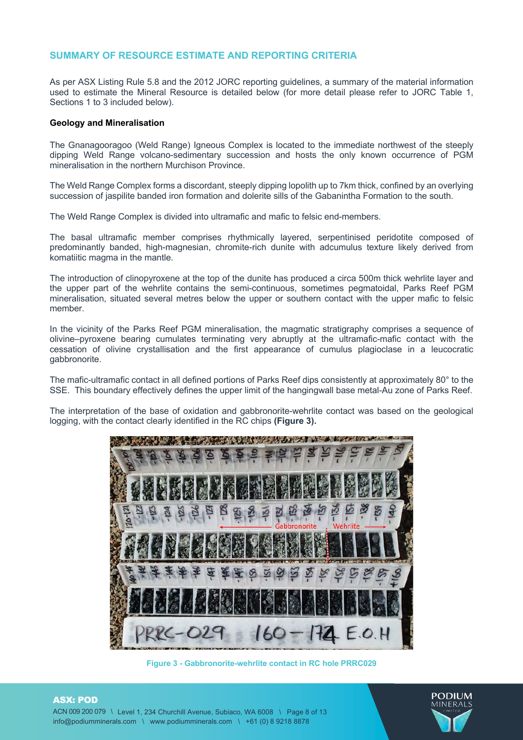# **SUMMARY OF RESOURCE ESTIMATE AND REPORTING CRITERIA**

As per ASX Listing Rule 5.8 and the 2012 JORC reporting guidelines, a summary of the material information used to estimate the Mineral Resource is detailed below (for more detail please refer to JORC Table 1, Sections 1 to 3 included below).

#### **Geology and Mineralisation**

The Gnanagooragoo (Weld Range) Igneous Complex is located to the immediate northwest of the steeply dipping Weld Range volcano-sedimentary succession and hosts the only known occurrence of PGM mineralisation in the northern Murchison Province.

The Weld Range Complex forms a discordant, steeply dipping lopolith up to 7km thick, confined by an overlying succession of jaspilite banded iron formation and dolerite sills of the Gabanintha Formation to the south.

The Weld Range Complex is divided into ultramafic and mafic to felsic end-members.

The basal ultramafic member comprises rhythmically layered, serpentinised peridotite composed of predominantly banded, high-magnesian, chromite-rich dunite with adcumulus texture likely derived from komatiitic magma in the mantle.

The introduction of clinopyroxene at the top of the dunite has produced a circa 500m thick wehrlite layer and the upper part of the wehrlite contains the semi-continuous, sometimes pegmatoidal, Parks Reef PGM mineralisation, situated several metres below the upper or southern contact with the upper mafic to felsic member.

In the vicinity of the Parks Reef PGM mineralisation, the magmatic stratigraphy comprises a sequence of olivine–pyroxene bearing cumulates terminating very abruptly at the ultramafic-mafic contact with the cessation of olivine crystallisation and the first appearance of cumulus plagioclase in a leucocratic gabbronorite.

The mafic-ultramafic contact in all defined portions of Parks Reef dips consistently at approximately 80° to the SSE. This boundary effectively defines the upper limit of the hangingwall base metal-Au zone of Parks Reef.

The interpretation of the base of oxidation and gabbronorite-wehrlite contact was based on the geological logging, with the contact clearly identified in the RC chips **(Figure 3).**



**Figure 3 - Gabbronorite-wehrlite contact in RC hole PRRC029**



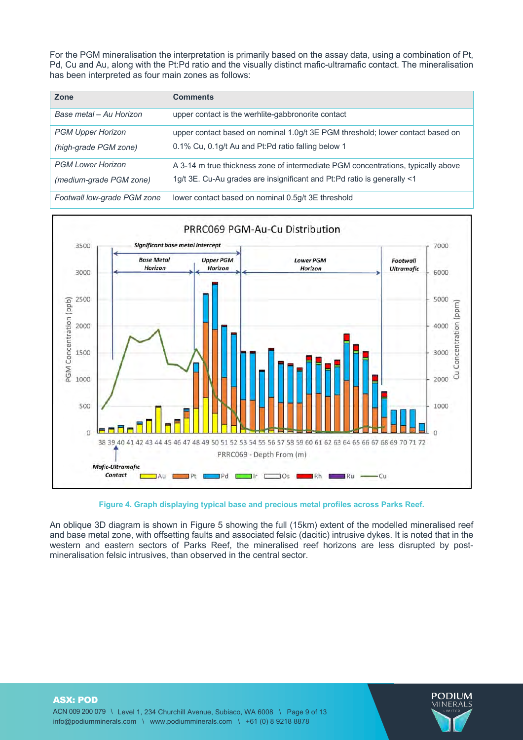For the PGM mineralisation the interpretation is primarily based on the assay data, using a combination of Pt, Pd, Cu and Au, along with the Pt:Pd ratio and the visually distinct mafic-ultramafic contact. The mineralisation has been interpreted as four main zones as follows:

| Zone                                                | <b>Comments</b>                                                                                                                                             |
|-----------------------------------------------------|-------------------------------------------------------------------------------------------------------------------------------------------------------------|
| Base metal - Au Horizon                             | upper contact is the werhlite-gabbronorite contact                                                                                                          |
| <b>PGM Upper Horizon</b><br>(high-grade PGM zone)   | upper contact based on nominal 1.0g/t 3E PGM threshold; lower contact based on<br>0.1% Cu, 0.1g/t Au and Pt: Pd ratio falling below 1                       |
| <b>PGM Lower Horizon</b><br>(medium-grade PGM zone) | A 3-14 m true thickness zone of intermediate PGM concentrations, typically above<br>1g/t 3E. Cu-Au grades are insignificant and Pt:Pd ratio is generally <1 |
| Footwall low-grade PGM zone                         | lower contact based on nominal 0.5g/t 3E threshold                                                                                                          |



# **Figure 4. Graph displaying typical base and precious metal profiles across Parks Reef.**

An oblique 3D diagram is shown in Figure 5 showing the full (15km) extent of the modelled mineralised reef and base metal zone, with offsetting faults and associated felsic (dacitic) intrusive dykes. It is noted that in the western and eastern sectors of Parks Reef, the mineralised reef horizons are less disrupted by postmineralisation felsic intrusives, than observed in the central sector.

ASX: POD ACN 009 200 079 \ Level 1, 234 Churchill Avenue, Subiaco, WA 6008 \ Page 9 of 13 info@podiumminerals.com \ www.podiumminerals.com \ +61 (0) 8 9218 8878

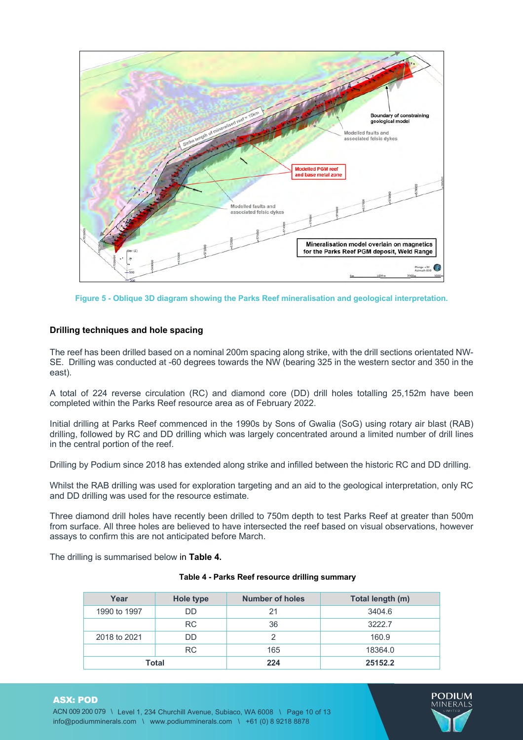

**Figure 5 - Oblique 3D diagram showing the Parks Reef mineralisation and geological interpretation.** 

#### **Drilling techniques and hole spacing**

The reef has been drilled based on a nominal 200m spacing along strike, with the drill sections orientated NW-SE. Drilling was conducted at -60 degrees towards the NW (bearing 325 in the western sector and 350 in the east).

A total of 224 reverse circulation (RC) and diamond core (DD) drill holes totalling 25,152m have been completed within the Parks Reef resource area as of February 2022.

Initial drilling at Parks Reef commenced in the 1990s by Sons of Gwalia (SoG) using rotary air blast (RAB) drilling, followed by RC and DD drilling which was largely concentrated around a limited number of drill lines in the central portion of the reef.

Drilling by Podium since 2018 has extended along strike and infilled between the historic RC and DD drilling.

Whilst the RAB drilling was used for exploration targeting and an aid to the geological interpretation, only RC and DD drilling was used for the resource estimate.

Three diamond drill holes have recently been drilled to 750m depth to test Parks Reef at greater than 500m from surface. All three holes are believed to have intersected the reef based on visual observations, however assays to confirm this are not anticipated before March.

The drilling is summarised below in **Table 4.**

ASX: POD

| Year         | Hole type | <b>Number of holes</b> | Total length (m) |
|--------------|-----------|------------------------|------------------|
| 1990 to 1997 | DD        | 21                     | 3404.6           |
|              | RC.       | 36                     | 3222.7           |
| 2018 to 2021 | DD.       | 2                      | 160.9            |
|              | RC.       | 165                    | 18364.0          |
| Total        |           | 224                    | 25152.2          |

#### **Table 4 - Parks Reef resource drilling summary**

ACN 009 200 079 \ Level 1, 234 Churchill Avenue, Subiaco, WA 6008 \ Page 10 of 13 info@podiumminerals.com \ www.podiumminerals.com \ +61 (0) 8 9218 8878

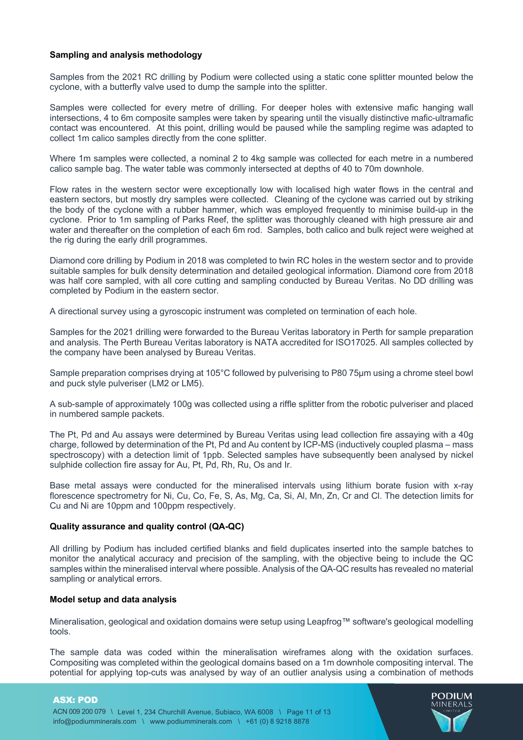# **Sampling and analysis methodology**

Samples from the 2021 RC drilling by Podium were collected using a static cone splitter mounted below the cyclone, with a butterfly valve used to dump the sample into the splitter.

Samples were collected for every metre of drilling. For deeper holes with extensive mafic hanging wall intersections, 4 to 6m composite samples were taken by spearing until the visually distinctive mafic-ultramafic contact was encountered. At this point, drilling would be paused while the sampling regime was adapted to collect 1m calico samples directly from the cone splitter.

Where 1m samples were collected, a nominal 2 to 4kg sample was collected for each metre in a numbered calico sample bag. The water table was commonly intersected at depths of 40 to 70m downhole.

Flow rates in the western sector were exceptionally low with localised high water flows in the central and eastern sectors, but mostly dry samples were collected. Cleaning of the cyclone was carried out by striking the body of the cyclone with a rubber hammer, which was employed frequently to minimise build-up in the cyclone. Prior to 1m sampling of Parks Reef, the splitter was thoroughly cleaned with high pressure air and water and thereafter on the completion of each 6m rod. Samples, both calico and bulk reject were weighed at the rig during the early drill programmes.

Diamond core drilling by Podium in 2018 was completed to twin RC holes in the western sector and to provide suitable samples for bulk density determination and detailed geological information. Diamond core from 2018 was half core sampled, with all core cutting and sampling conducted by Bureau Veritas. No DD drilling was completed by Podium in the eastern sector.

A directional survey using a gyroscopic instrument was completed on termination of each hole.

Samples for the 2021 drilling were forwarded to the Bureau Veritas laboratory in Perth for sample preparation and analysis. The Perth Bureau Veritas laboratory is NATA accredited for ISO17025. All samples collected by the company have been analysed by Bureau Veritas.

Sample preparation comprises drying at 105°C followed by pulverising to P80 75µm using a chrome steel bowl and puck style pulveriser (LM2 or LM5).

A sub-sample of approximately 100g was collected using a riffle splitter from the robotic pulveriser and placed in numbered sample packets.

The Pt, Pd and Au assays were determined by Bureau Veritas using lead collection fire assaying with a 40g charge, followed by determination of the Pt, Pd and Au content by ICP-MS (inductively coupled plasma – mass spectroscopy) with a detection limit of 1ppb. Selected samples have subsequently been analysed by nickel sulphide collection fire assay for Au, Pt, Pd, Rh, Ru, Os and Ir.

Base metal assays were conducted for the mineralised intervals using lithium borate fusion with x-ray florescence spectrometry for Ni, Cu, Co, Fe, S, As, Mg, Ca, Si, Al, Mn, Zn, Cr and Cl. The detection limits for Cu and Ni are 10ppm and 100ppm respectively.

#### **Quality assurance and quality control (QA-QC)**

All drilling by Podium has included certified blanks and field duplicates inserted into the sample batches to monitor the analytical accuracy and precision of the sampling, with the objective being to include the QC samples within the mineralised interval where possible. Analysis of the QA-QC results has revealed no material sampling or analytical errors.

#### **Model setup and data analysis**

Mineralisation, geological and oxidation domains were setup using Leapfrog™ software's geological modelling tools.

The sample data was coded within the mineralisation wireframes along with the oxidation surfaces. Compositing was completed within the geological domains based on a 1m downhole compositing interval. The potential for applying top-cuts was analysed by way of an outlier analysis using a combination of methods

#### ASX: POD

ACN 009 200 079 \ Level 1, 234 Churchill Avenue, Subiaco, WA 6008 \ Page 11 of 13 info@podiumminerals.com \ www.podiumminerals.com \ +61 (0) 8 9218 8878

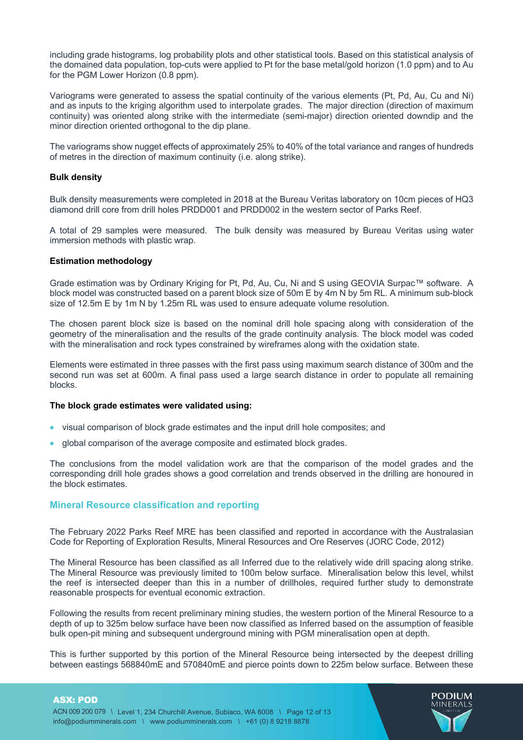including grade histograms, log probability plots and other statistical tools. Based on this statistical analysis of the domained data population, top-cuts were applied to Pt for the base metal/gold horizon (1.0 ppm) and to Au for the PGM Lower Horizon (0.8 ppm).

Variograms were generated to assess the spatial continuity of the various elements (Pt, Pd, Au, Cu and Ni) and as inputs to the kriging algorithm used to interpolate grades. The major direction (direction of maximum continuity) was oriented along strike with the intermediate (semi-major) direction oriented downdip and the minor direction oriented orthogonal to the dip plane.

The variograms show nugget effects of approximately 25% to 40% of the total variance and ranges of hundreds of metres in the direction of maximum continuity (i.e. along strike).

# **Bulk density**

Bulk density measurements were completed in 2018 at the Bureau Veritas laboratory on 10cm pieces of HQ3 diamond drill core from drill holes PRDD001 and PRDD002 in the western sector of Parks Reef.

A total of 29 samples were measured. The bulk density was measured by Bureau Veritas using water immersion methods with plastic wrap.

#### **Estimation methodology**

Grade estimation was by Ordinary Kriging for Pt, Pd, Au, Cu, Ni and S using GEOVIA Surpac™ software. A block model was constructed based on a parent block size of 50m E by 4m N by 5m RL. A minimum sub-block size of 12.5m E by 1m N by 1.25m RL was used to ensure adequate volume resolution.

The chosen parent block size is based on the nominal drill hole spacing along with consideration of the geometry of the mineralisation and the results of the grade continuity analysis. The block model was coded with the mineralisation and rock types constrained by wireframes along with the oxidation state.

Elements were estimated in three passes with the first pass using maximum search distance of 300m and the second run was set at 600m. A final pass used a large search distance in order to populate all remaining blocks.

#### **The block grade estimates were validated using:**

- visual comparison of block grade estimates and the input drill hole composites; and
- global comparison of the average composite and estimated block grades.

The conclusions from the model validation work are that the comparison of the model grades and the corresponding drill hole grades shows a good correlation and trends observed in the drilling are honoured in the block estimates.

# **Mineral Resource classification and reporting**

The February 2022 Parks Reef MRE has been classified and reported in accordance with the Australasian Code for Reporting of Exploration Results, Mineral Resources and Ore Reserves (JORC Code, 2012)

The Mineral Resource has been classified as all Inferred due to the relatively wide drill spacing along strike. The Mineral Resource was previously limited to 100m below surface. Mineralisation below this level, whilst the reef is intersected deeper than this in a number of drillholes, required further study to demonstrate reasonable prospects for eventual economic extraction.

Following the results from recent preliminary mining studies, the western portion of the Mineral Resource to a depth of up to 325m below surface have been now classified as Inferred based on the assumption of feasible bulk open-pit mining and subsequent underground mining with PGM mineralisation open at depth.

This is further supported by this portion of the Mineral Resource being intersected by the deepest drilling between eastings 568840mE and 570840mE and pierce points down to 225m below surface. Between these

#### ASX: POD

ACN 009 200 079 \ Level 1, 234 Churchill Avenue, Subiaco, WA 6008 \ Page 12 of 13 info@podiumminerals.com \ www.podiumminerals.com \ +61 (0) 8 9218 8878

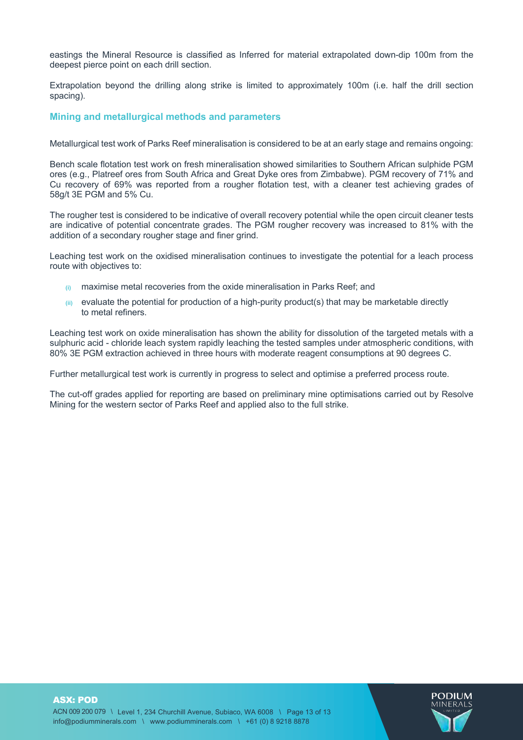eastings the Mineral Resource is classified as Inferred for material extrapolated down-dip 100m from the deepest pierce point on each drill section.

Extrapolation beyond the drilling along strike is limited to approximately 100m (i.e. half the drill section spacing).

# **Mining and metallurgical methods and parameters**

Metallurgical test work of Parks Reef mineralisation is considered to be at an early stage and remains ongoing:

Bench scale flotation test work on fresh mineralisation showed similarities to Southern African sulphide PGM ores (e.g., Platreef ores from South Africa and Great Dyke ores from Zimbabwe). PGM recovery of 71% and Cu recovery of 69% was reported from a rougher flotation test, with a cleaner test achieving grades of 58g/t 3E PGM and 5% Cu.

The rougher test is considered to be indicative of overall recovery potential while the open circuit cleaner tests are indicative of potential concentrate grades. The PGM rougher recovery was increased to 81% with the addition of a secondary rougher stage and finer grind.

Leaching test work on the oxidised mineralisation continues to investigate the potential for a leach process route with objectives to:

- **(i)** maximise metal recoveries from the oxide mineralisation in Parks Reef; and
- **(ii)** evaluate the potential for production of a high-purity product(s) that may be marketable directly to metal refiners.

Leaching test work on oxide mineralisation has shown the ability for dissolution of the targeted metals with a sulphuric acid - chloride leach system rapidly leaching the tested samples under atmospheric conditions, with 80% 3E PGM extraction achieved in three hours with moderate reagent consumptions at 90 degrees C.

Further metallurgical test work is currently in progress to select and optimise a preferred process route.

The cut-off grades applied for reporting are based on preliminary mine optimisations carried out by Resolve Mining for the western sector of Parks Reef and applied also to the full strike.

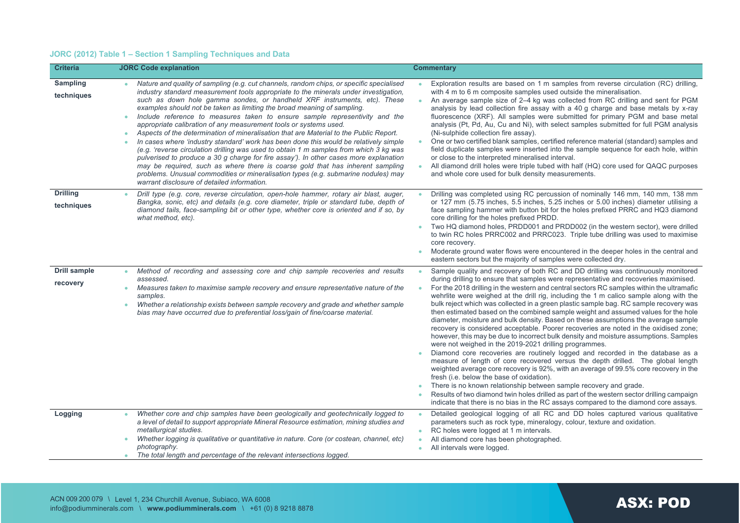# **JORC (2012) Table 1 – Section 1 Sampling Techniques and Data**

| <b>Criteria</b>                 | <b>JORC Code explanation</b>                                                                                                                                                                                                                                                                                                                                                                                                                                                                                                                                                                                                                                                                                                                                                                                                                                                                                                                                                                                                                                                                       | <b>Commentary</b>                                                                                                                                                                                                                                                                                                                                                                                                                                                                                                                                                                                                                                                                                                                                                                                                                                                                                                                                                                                                                                                                                                                                                                                                                                                                                                                                                                                                                                                                       |
|---------------------------------|----------------------------------------------------------------------------------------------------------------------------------------------------------------------------------------------------------------------------------------------------------------------------------------------------------------------------------------------------------------------------------------------------------------------------------------------------------------------------------------------------------------------------------------------------------------------------------------------------------------------------------------------------------------------------------------------------------------------------------------------------------------------------------------------------------------------------------------------------------------------------------------------------------------------------------------------------------------------------------------------------------------------------------------------------------------------------------------------------|-----------------------------------------------------------------------------------------------------------------------------------------------------------------------------------------------------------------------------------------------------------------------------------------------------------------------------------------------------------------------------------------------------------------------------------------------------------------------------------------------------------------------------------------------------------------------------------------------------------------------------------------------------------------------------------------------------------------------------------------------------------------------------------------------------------------------------------------------------------------------------------------------------------------------------------------------------------------------------------------------------------------------------------------------------------------------------------------------------------------------------------------------------------------------------------------------------------------------------------------------------------------------------------------------------------------------------------------------------------------------------------------------------------------------------------------------------------------------------------------|
| <b>Sampling</b><br>techniques   | Nature and quality of sampling (e.g. cut channels, random chips, or specific specialised<br>industry standard measurement tools appropriate to the minerals under investigation,<br>such as down hole gamma sondes, or handheld XRF instruments, etc). These<br>examples should not be taken as limiting the broad meaning of sampling.<br>Include reference to measures taken to ensure sample representivity and the<br>۰<br>appropriate calibration of any measurement tools or systems used.<br>Aspects of the determination of mineralisation that are Material to the Public Report.<br>۰<br>In cases where 'industry standard' work has been done this would be relatively simple<br>(e.g. 'reverse circulation drilling was used to obtain 1 m samples from which 3 kg was<br>pulverised to produce a 30 g charge for fire assay'). In other cases more explanation<br>may be required, such as where there is coarse gold that has inherent sampling<br>problems. Unusual commodities or mineralisation types (e.g. submarine nodules) may<br>warrant disclosure of detailed information. | Exploration results are based on 1 m samples from reverse circulation (RC) drilling,<br>with 4 m to 6 m composite samples used outside the mineralisation.<br>An average sample size of 2–4 kg was collected from RC drilling and sent for PGM<br>$\bullet$<br>analysis by lead collection fire assay with a 40 q charge and base metals by x-ray<br>fluorescence (XRF). All samples were submitted for primary PGM and base metal<br>analysis (Pt, Pd, Au, Cu and Ni), with select samples submitted for full PGM analysis<br>(Ni-sulphide collection fire assay).<br>One or two certified blank samples, certified reference material (standard) samples and<br>$\bullet$<br>field duplicate samples were inserted into the sample sequence for each hole, within<br>or close to the interpreted mineralised interval.<br>All diamond drill holes were triple tubed with half (HQ) core used for QAQC purposes<br>۰<br>and whole core used for bulk density measurements.                                                                                                                                                                                                                                                                                                                                                                                                                                                                                                             |
| <b>Drilling</b><br>techniques   | Drill type (e.g. core, reverse circulation, open-hole hammer, rotary air blast, auger,<br>$\bullet$<br>Bangka, sonic, etc) and details (e.g. core diameter, triple or standard tube, depth of<br>diamond tails, face-sampling bit or other type, whether core is oriented and if so, by<br>what method, etc).                                                                                                                                                                                                                                                                                                                                                                                                                                                                                                                                                                                                                                                                                                                                                                                      | Drilling was completed using RC percussion of nominally 146 mm, 140 mm, 138 mm<br>$\bullet$<br>or 127 mm (5.75 inches, 5.5 inches, 5.25 inches or 5.00 inches) diameter utilising a<br>face sampling hammer with button bit for the holes prefixed PRRC and HQ3 diamond<br>core drilling for the holes prefixed PRDD.<br>Two HQ diamond holes, PRDD001 and PRDD002 (in the western sector), were drilled<br>۰<br>to twin RC holes PRRC002 and PRRC023. Triple tube drilling was used to maximise<br>core recovery.<br>Moderate ground water flows were encountered in the deeper holes in the central and<br>٠<br>eastern sectors but the majority of samples were collected dry.                                                                                                                                                                                                                                                                                                                                                                                                                                                                                                                                                                                                                                                                                                                                                                                                       |
| <b>Drill sample</b><br>recovery | Method of recording and assessing core and chip sample recoveries and results<br>assessed.<br>Measures taken to maximise sample recovery and ensure representative nature of the<br>۰<br>samples.<br>Whether a relationship exists between sample recovery and grade and whether sample<br>$\bullet$<br>bias may have occurred due to preferential loss/gain of fine/coarse material.                                                                                                                                                                                                                                                                                                                                                                                                                                                                                                                                                                                                                                                                                                              | Sample quality and recovery of both RC and DD drilling was continuously monitored<br>$\bullet$<br>during drilling to ensure that samples were representative and recoveries maximised.<br>For the 2018 drilling in the western and central sectors RC samples within the ultramafic<br>$\bullet$<br>wehrlite were weighed at the drill rig, including the 1 m calico sample along with the<br>bulk reject which was collected in a green plastic sample bag. RC sample recovery was<br>then estimated based on the combined sample weight and assumed values for the hole<br>diameter, moisture and bulk density. Based on these assumptions the average sample<br>recovery is considered acceptable. Poorer recoveries are noted in the oxidised zone;<br>however, this may be due to incorrect bulk density and moisture assumptions. Samples<br>were not weighed in the 2019-2021 drilling programmes.<br>Diamond core recoveries are routinely logged and recorded in the database as a<br>measure of length of core recovered versus the depth drilled. The global length<br>weighted average core recovery is 92%, with an average of 99.5% core recovery in the<br>fresh (i.e. below the base of oxidation).<br>There is no known relationship between sample recovery and grade.<br>۰<br>Results of two diamond twin holes drilled as part of the western sector drilling campaign<br>۰<br>indicate that there is no bias in the RC assays compared to the diamond core assays. |
| Logging                         | Whether core and chip samples have been geologically and geotechnically logged to<br>a level of detail to support appropriate Mineral Resource estimation, mining studies and<br>metallurgical studies.<br>Whether logging is qualitative or quantitative in nature. Core (or costean, channel, etc)<br>photography.<br>The total length and percentage of the relevant intersections logged.<br>٠                                                                                                                                                                                                                                                                                                                                                                                                                                                                                                                                                                                                                                                                                                 | Detailed geological logging of all RC and DD holes captured various qualitative<br>$\bullet$<br>parameters such as rock type, mineralogy, colour, texture and oxidation.<br>RC holes were logged at 1 m intervals.<br>٠<br>All diamond core has been photographed.<br>$\bullet$<br>All intervals were logged.<br>٠                                                                                                                                                                                                                                                                                                                                                                                                                                                                                                                                                                                                                                                                                                                                                                                                                                                                                                                                                                                                                                                                                                                                                                      |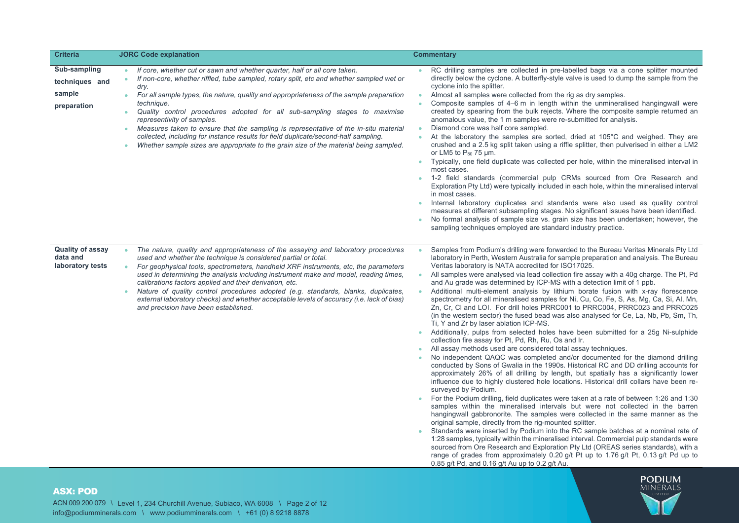| <b>Criteria</b>                                         | <b>JORC Code explanation</b>                                                                                                                                                                                                                                                                                                                                                                                                                                                                                                                                                                                                                                                                                                   | <b>Commentary</b>                                                                                                                                                                                                                                                                                                                                                                                                                                                                                                                                                                                                                                                                                                                                                                                                                                                                                                                                                                                                                                                                                                                                                                                                                                                                                                                                                                                                                                                                                                                                                                                                                                                                                                                                                                                                                                                                                                                                                                                                                                                                                                                                                                                                     |
|---------------------------------------------------------|--------------------------------------------------------------------------------------------------------------------------------------------------------------------------------------------------------------------------------------------------------------------------------------------------------------------------------------------------------------------------------------------------------------------------------------------------------------------------------------------------------------------------------------------------------------------------------------------------------------------------------------------------------------------------------------------------------------------------------|-----------------------------------------------------------------------------------------------------------------------------------------------------------------------------------------------------------------------------------------------------------------------------------------------------------------------------------------------------------------------------------------------------------------------------------------------------------------------------------------------------------------------------------------------------------------------------------------------------------------------------------------------------------------------------------------------------------------------------------------------------------------------------------------------------------------------------------------------------------------------------------------------------------------------------------------------------------------------------------------------------------------------------------------------------------------------------------------------------------------------------------------------------------------------------------------------------------------------------------------------------------------------------------------------------------------------------------------------------------------------------------------------------------------------------------------------------------------------------------------------------------------------------------------------------------------------------------------------------------------------------------------------------------------------------------------------------------------------------------------------------------------------------------------------------------------------------------------------------------------------------------------------------------------------------------------------------------------------------------------------------------------------------------------------------------------------------------------------------------------------------------------------------------------------------------------------------------------------|
| Sub-sampling<br>techniques and<br>sample<br>preparation | If core, whether cut or sawn and whether quarter, half or all core taken.<br>$\bullet$<br>If non-core, whether riffled, tube sampled, rotary split, etc and whether sampled wet or<br>$\bullet$<br>dry.<br>For all sample types, the nature, quality and appropriateness of the sample preparation<br>$\bullet$<br>technique.<br>Quality control procedures adopted for all sub-sampling stages to maximise<br>representivity of samples.<br>Measures taken to ensure that the sampling is representative of the in-situ material<br>collected, including for instance results for field duplicate/second-half sampling.<br>Whether sample sizes are appropriate to the grain size of the material being sampled.<br>$\bullet$ | RC drilling samples are collected in pre-labelled bags via a cone splitter mounted<br>۰<br>directly below the cyclone. A butterfly-style valve is used to dump the sample from the<br>cyclone into the splitter.<br>Almost all samples were collected from the rig as dry samples.<br>$\bullet$<br>Composite samples of 4–6 m in length within the unmineralised hangingwall were<br>$\bullet$<br>created by spearing from the bulk rejects. Where the composite sample returned an<br>anomalous value, the 1 m samples were re-submitted for analysis.<br>Diamond core was half core sampled.<br>$\bullet$<br>At the laboratory the samples are sorted, dried at 105°C and weighed. They are<br>$\bullet$<br>crushed and a 2.5 kg split taken using a riffle splitter, then pulverised in either a LM2<br>or LM5 to $P_{80}$ 75 $\mu$ m.<br>Typically, one field duplicate was collected per hole, within the mineralised interval in<br>$\bullet$<br>most cases.<br>1-2 field standards (commercial pulp CRMs sourced from Ore Research and<br>$\bullet$<br>Exploration Pty Ltd) were typically included in each hole, within the mineralised interval<br>in most cases.<br>Internal laboratory duplicates and standards were also used as quality control<br>measures at different subsampling stages. No significant issues have been identified.<br>No formal analysis of sample size vs. grain size has been undertaken; however, the<br>sampling techniques employed are standard industry practice.                                                                                                                                                                                                                                                                                                                                                                                                                                                                                                                                                                                                                                                                                                           |
| <b>Quality of assay</b><br>data and<br>laboratory tests | The nature, quality and appropriateness of the assaying and laboratory procedures<br>$\bullet$<br>used and whether the technique is considered partial or total.<br>For geophysical tools, spectrometers, handheld XRF instruments, etc, the parameters<br>$\bullet$<br>used in determining the analysis including instrument make and model, reading times,<br>calibrations factors applied and their derivation, etc.<br>Nature of quality control procedures adopted (e.g. standards, blanks, duplicates,<br>$\bullet$<br>external laboratory checks) and whether acceptable levels of accuracy (i.e. lack of bias)<br>and precision have been established.                                                                 | Samples from Podium's drilling were forwarded to the Bureau Veritas Minerals Pty Ltd<br>$\bullet$<br>laboratory in Perth, Western Australia for sample preparation and analysis. The Bureau<br>Veritas laboratory is NATA accredited for ISO17025.<br>All samples were analysed via lead collection fire assay with a 40g charge. The Pt, Pd<br>$\bullet$<br>and Au grade was determined by ICP-MS with a detection limit of 1 ppb.<br>Additional multi-element analysis by lithium borate fusion with x-ray florescence<br>$\bullet$<br>spectrometry for all mineralised samples for Ni, Cu, Co, Fe, S, As, Mg, Ca, Si, Al, Mn,<br>Zn, Cr, Cl and LOI. For drill holes PRRC001 to PRRC004, PRRC023 and PRRC025<br>(in the western sector) the fused bead was also analysed for Ce, La, Nb, Pb, Sm, Th,<br>Ti, Y and Zr by laser ablation ICP-MS.<br>Additionally, pulps from selected holes have been submitted for a 25g Ni-sulphide<br>$\bullet$<br>collection fire assay for Pt, Pd, Rh, Ru, Os and Ir.<br>All assay methods used are considered total assay techniques.<br>$\bullet$<br>No independent QAQC was completed and/or documented for the diamond drilling<br>conducted by Sons of Gwalia in the 1990s. Historical RC and DD drilling accounts for<br>approximately 26% of all drilling by length, but spatially has a significantly lower<br>influence due to highly clustered hole locations. Historical drill collars have been re-<br>surveyed by Podium.<br>For the Podium drilling, field duplicates were taken at a rate of between 1:26 and 1:30<br>samples within the mineralised intervals but were not collected in the barren<br>hangingwall gabbronorite. The samples were collected in the same manner as the<br>original sample, directly from the rig-mounted splitter.<br>Standards were inserted by Podium into the RC sample batches at a nominal rate of<br>1:28 samples, typically within the mineralised interval. Commercial pulp standards were<br>sourced from Ore Research and Exploration Pty Ltd (OREAS series standards), with a<br>range of grades from approximately 0.20 g/t Pt up to 1.76 g/t Pt, 0.13 g/t Pd up to<br>0.85 g/t Pd, and 0.16 g/t Au up to 0.2 g/t Au. |

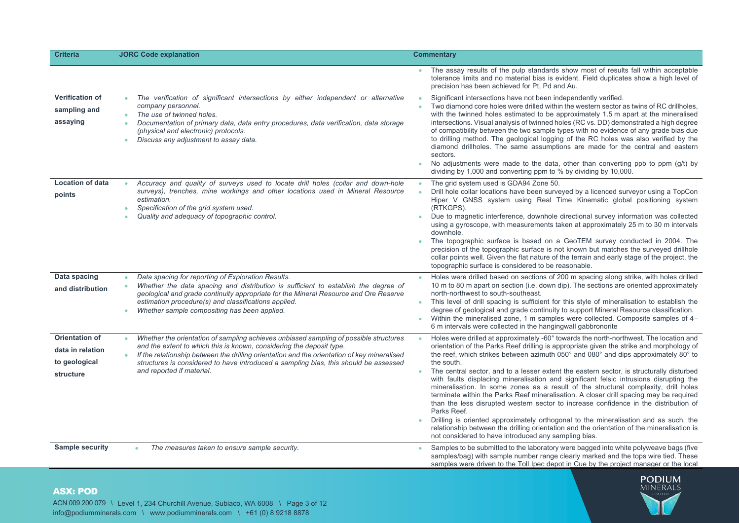| <b>Criteria</b>                                                         | <b>JORC Code explanation</b>                                                                                                                                                                                                                                                                                                                                                                   | <b>Commentary</b>                                                                                                                                                                                                                                                                                                                                                                                                                                                                                                                                                                                                                                                                                                                                                                                                                                                                                                                                                                                                                                          |
|-------------------------------------------------------------------------|------------------------------------------------------------------------------------------------------------------------------------------------------------------------------------------------------------------------------------------------------------------------------------------------------------------------------------------------------------------------------------------------|------------------------------------------------------------------------------------------------------------------------------------------------------------------------------------------------------------------------------------------------------------------------------------------------------------------------------------------------------------------------------------------------------------------------------------------------------------------------------------------------------------------------------------------------------------------------------------------------------------------------------------------------------------------------------------------------------------------------------------------------------------------------------------------------------------------------------------------------------------------------------------------------------------------------------------------------------------------------------------------------------------------------------------------------------------|
|                                                                         |                                                                                                                                                                                                                                                                                                                                                                                                | The assay results of the pulp standards show most of results fall within acceptable<br>tolerance limits and no material bias is evident. Field duplicates show a high level of<br>precision has been achieved for Pt, Pd and Au.                                                                                                                                                                                                                                                                                                                                                                                                                                                                                                                                                                                                                                                                                                                                                                                                                           |
| <b>Verification of</b><br>sampling and<br>assaying                      | The verification of significant intersections by either independent or alternative<br>$\bullet$<br>company personnel.<br>The use of twinned holes.<br>Documentation of primary data, data entry procedures, data verification, data storage<br>(physical and electronic) protocols.<br>Discuss any adjustment to assay data.                                                                   | Significant intersections have not been independently verified.<br>$\bullet$<br>Two diamond core holes were drilled within the western sector as twins of RC drillholes,<br>$\bullet$<br>with the twinned holes estimated to be approximately 1.5 m apart at the mineralised<br>intersections. Visual analysis of twinned holes (RC vs. DD) demonstrated a high degree<br>of compatibility between the two sample types with no evidence of any grade bias due<br>to drilling method. The geological logging of the RC holes was also verified by the<br>diamond drillholes. The same assumptions are made for the central and eastern<br>sectors.<br>No adjustments were made to the data, other than converting ppb to ppm (g/t) by<br>dividing by 1,000 and converting ppm to % by dividing by 10,000.                                                                                                                                                                                                                                                  |
| <b>Location of data</b><br>points                                       | Accuracy and quality of surveys used to locate drill holes (collar and down-hole<br>surveys), trenches, mine workings and other locations used in Mineral Resource<br>estimation.<br>Specification of the grid system used.<br>٠<br>Quality and adequacy of topographic control.                                                                                                               | The grid system used is GDA94 Zone 50.<br>$\bullet$<br>Drill hole collar locations have been surveyed by a licenced surveyor using a TopCon<br>Hiper V GNSS system using Real Time Kinematic global positioning system<br>(RTKGPS).<br>Due to magnetic interference, downhole directional survey information was collected<br>using a gyroscope, with measurements taken at approximately 25 m to 30 m intervals<br>downhole.<br>The topographic surface is based on a GeoTEM survey conducted in 2004. The<br>$\bullet$<br>precision of the topographic surface is not known but matches the surveyed drillhole<br>collar points well. Given the flat nature of the terrain and early stage of the project, the<br>topographic surface is considered to be reasonable.                                                                                                                                                                                                                                                                                    |
| Data spacing<br>and distribution                                        | Data spacing for reporting of Exploration Results.<br>Whether the data spacing and distribution is sufficient to establish the degree of<br>geological and grade continuity appropriate for the Mineral Resource and Ore Reserve<br>estimation procedure(s) and classifications applied.<br>Whether sample compositing has been applied.                                                       | Holes were drilled based on sections of 200 m spacing along strike, with holes drilled<br>$\bullet$<br>10 m to 80 m apart on section (i.e. down dip). The sections are oriented approximately<br>north-northwest to south-southeast.<br>This level of drill spacing is sufficient for this style of mineralisation to establish the<br>$\bullet$<br>degree of geological and grade continuity to support Mineral Resource classification.<br>Within the mineralised zone, 1 m samples were collected. Composite samples of 4–<br>$\bullet$<br>6 m intervals were collected in the hanging wall gabbronorite                                                                                                                                                                                                                                                                                                                                                                                                                                                |
| <b>Orientation of</b><br>data in relation<br>to geological<br>structure | Whether the orientation of sampling achieves unbiased sampling of possible structures<br>and the extent to which this is known, considering the deposit type.<br>If the relationship between the drilling orientation and the orientation of key mineralised<br>$\bullet$<br>structures is considered to have introduced a sampling bias, this should be assessed<br>and reported if material. | Holes were drilled at approximately -60° towards the north-northwest. The location and<br>$\bullet$<br>orientation of the Parks Reef drilling is appropriate given the strike and morphology of<br>the reef, which strikes between azimuth 050° and 080° and dips approximately 80° to<br>the south.<br>The central sector, and to a lesser extent the eastern sector, is structurally disturbed<br>$\bullet$<br>with faults displacing mineralisation and significant felsic intrusions disrupting the<br>mineralisation. In some zones as a result of the structural complexity, drill holes<br>terminate within the Parks Reef mineralisation. A closer drill spacing may be required<br>than the less disrupted western sector to increase confidence in the distribution of<br>Parks Reef.<br>Drilling is oriented approximately orthogonal to the mineralisation and as such, the<br>$\bullet$<br>relationship between the drilling orientation and the orientation of the mineralisation is<br>not considered to have introduced any sampling bias. |
| <b>Sample security</b>                                                  | The measures taken to ensure sample security.                                                                                                                                                                                                                                                                                                                                                  | Samples to be submitted to the laboratory were bagged into white polyweave bags (five<br>$\bullet$<br>samples/bag) with sample number range clearly marked and the tops wire tied. These<br>samples were driven to the Toll Ipec depot in Cue by the project manager or the local                                                                                                                                                                                                                                                                                                                                                                                                                                                                                                                                                                                                                                                                                                                                                                          |



# ASX: POD

ACN 009 200 079 \ Level 1, 234 Churchill Avenue, Subiaco, WA 6008 \ Page 3 of 12 info@podiumminerals.com \ www.podiumminerals.com \ +61 (0) 8 9218 8878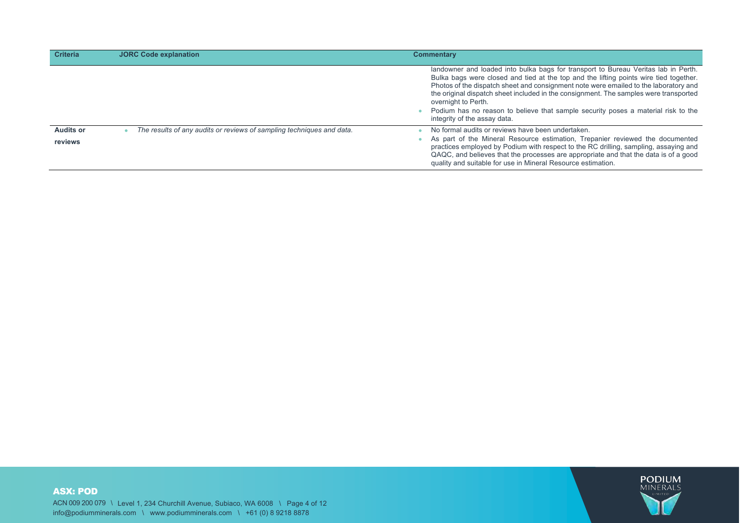| <b>Criteria</b>             | <b>JORC Code explanation</b>                                          | <b>Commentary</b>                                                                                                                                                                                                                                                                                                                                                                                                                                                                                        |
|-----------------------------|-----------------------------------------------------------------------|----------------------------------------------------------------------------------------------------------------------------------------------------------------------------------------------------------------------------------------------------------------------------------------------------------------------------------------------------------------------------------------------------------------------------------------------------------------------------------------------------------|
|                             |                                                                       | landowner and loaded into bulka bags for transport to Bureau Veritas lab in Perth.<br>Bulka bags were closed and tied at the top and the lifting points wire tied together.<br>Photos of the dispatch sheet and consignment note were emailed to the laboratory and<br>the original dispatch sheet included in the consignment. The samples were transported<br>overnight to Perth.<br>Podium has no reason to believe that sample security poses a material risk to the<br>integrity of the assay data. |
| <b>Audits or</b><br>reviews | The results of any audits or reviews of sampling techniques and data. | No formal audits or reviews have been undertaken.<br>As part of the Mineral Resource estimation, Trepanier reviewed the documented<br>practices employed by Podium with respect to the RC drilling, sampling, assaying and<br>QAQC, and believes that the processes are appropriate and that the data is of a good<br>quality and suitable for use in Mineral Resource estimation.                                                                                                                       |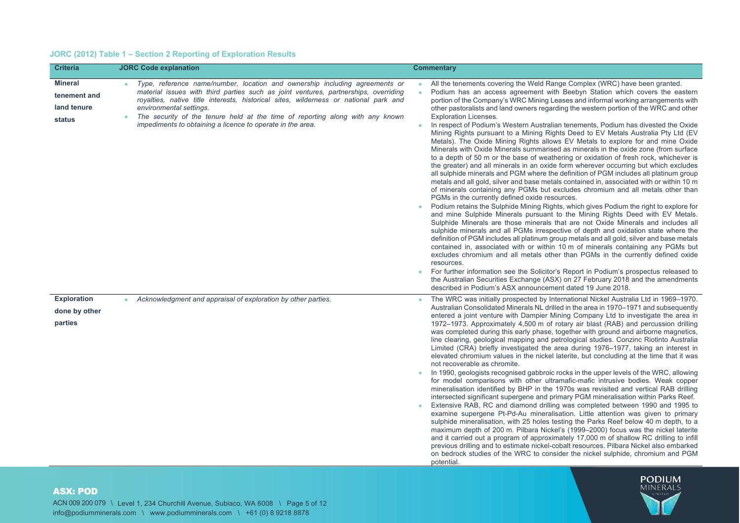# **JORC (2012) Table 1 – Section 2 Reporting of Exploration Results**

| <b>Criteria</b>                                         | <b>JORC Code explanation</b>                                                                                                                                                                                                                                                                                                                                                                                                         | <b>Commentary</b>                                                                                                                                                                                                                                                                                                                                                                                                                                                                                                                                                                                                                                                                                                                                                                                                                                                                                                                                                                                                                                                                                                                                                                                                                                                                                                                                                                                                                                                                                                                                                                                                                                                                                                                                                                                                                                                                                                                                                                                                                                                                                                                           |
|---------------------------------------------------------|--------------------------------------------------------------------------------------------------------------------------------------------------------------------------------------------------------------------------------------------------------------------------------------------------------------------------------------------------------------------------------------------------------------------------------------|---------------------------------------------------------------------------------------------------------------------------------------------------------------------------------------------------------------------------------------------------------------------------------------------------------------------------------------------------------------------------------------------------------------------------------------------------------------------------------------------------------------------------------------------------------------------------------------------------------------------------------------------------------------------------------------------------------------------------------------------------------------------------------------------------------------------------------------------------------------------------------------------------------------------------------------------------------------------------------------------------------------------------------------------------------------------------------------------------------------------------------------------------------------------------------------------------------------------------------------------------------------------------------------------------------------------------------------------------------------------------------------------------------------------------------------------------------------------------------------------------------------------------------------------------------------------------------------------------------------------------------------------------------------------------------------------------------------------------------------------------------------------------------------------------------------------------------------------------------------------------------------------------------------------------------------------------------------------------------------------------------------------------------------------------------------------------------------------------------------------------------------------|
| <b>Mineral</b><br>tenement and<br>land tenure<br>status | Type, reference name/number, location and ownership including agreements or<br>material issues with third parties such as joint ventures, partnerships, overriding<br>royalties, native title interests, historical sites, wilderness or national park and<br>environmental settings.<br>The security of the tenure held at the time of reporting along with any known<br>impediments to obtaining a licence to operate in the area. | All the tenements covering the Weld Range Complex (WRC) have been granted.<br>Podium has an access agreement with Beebyn Station which covers the eastern<br>portion of the Company's WRC Mining Leases and informal working arrangements with<br>other pastoralists and land owners regarding the western portion of the WRC and other<br><b>Exploration Licenses.</b><br>In respect of Podium's Western Australian tenements, Podium has divested the Oxide<br>$\bullet$<br>Mining Rights pursuant to a Mining Rights Deed to EV Metals Australia Pty Ltd (EV<br>Metals). The Oxide Mining Rights allows EV Metals to explore for and mine Oxide<br>Minerals with Oxide Minerals summarised as minerals in the oxide zone (from surface<br>to a depth of 50 m or the base of weathering or oxidation of fresh rock, whichever is<br>the greater) and all minerals in an oxide form wherever occurring but which excludes<br>all sulphide minerals and PGM where the definition of PGM includes all platinum group<br>metals and all gold, silver and base metals contained in, associated with or within 10 m<br>of minerals containing any PGMs but excludes chromium and all metals other than<br>PGMs in the currently defined oxide resources.<br>Podium retains the Sulphide Mining Rights, which gives Podium the right to explore for<br>and mine Sulphide Minerals pursuant to the Mining Rights Deed with EV Metals.<br>Sulphide Minerals are those minerals that are not Oxide Minerals and includes all<br>sulphide minerals and all PGMs irrespective of depth and oxidation state where the<br>definition of PGM includes all platinum group metals and all gold, silver and base metals<br>contained in, associated with or within 10 m of minerals containing any PGMs but<br>excludes chromium and all metals other than PGMs in the currently defined oxide<br>resources.<br>For further information see the Solicitor's Report in Podium's prospectus released to<br>۰<br>the Australian Securities Exchange (ASX) on 27 February 2018 and the amendments<br>described in Podium's ASX announcement dated 19 June 2018. |
| <b>Exploration</b><br>done by other<br>parties          | Acknowledgment and appraisal of exploration by other parties.                                                                                                                                                                                                                                                                                                                                                                        | The WRC was initially prospected by International Nickel Australia Ltd in 1969–1970.<br>Australian Consolidated Minerals NL drilled in the area in 1970–1971 and subsequently<br>entered a joint venture with Dampier Mining Company Ltd to investigate the area in<br>1972–1973. Approximately 4,500 m of rotary air blast (RAB) and percussion drilling<br>was completed during this early phase, together with ground and airborne magnetics,<br>line clearing, geological mapping and petrological studies. Conzinc Riotinto Australia<br>Limited (CRA) briefly investigated the area during 1976–1977, taking an interest in<br>elevated chromium values in the nickel laterite, but concluding at the time that it was<br>not recoverable as chromite.<br>In 1990, geologists recognised gabbroic rocks in the upper levels of the WRC, allowing<br>for model comparisons with other ultramafic-mafic intrusive bodies. Weak copper<br>mineralisation identified by BHP in the 1970s was revisited and vertical RAB drilling<br>intersected significant supergene and primary PGM mineralisation within Parks Reef.<br>Extensive RAB, RC and diamond drilling was completed between 1990 and 1995 to<br>examine supergene Pt-Pd-Au mineralisation. Little attention was given to primary<br>sulphide mineralisation, with 25 holes testing the Parks Reef below 40 m depth, to a<br>maximum depth of 200 m. Pilbara Nickel's (1999–2000) focus was the nickel laterite<br>and it carried out a program of approximately 17,000 m of shallow RC drilling to infill<br>previous drilling and to estimate nickel-cobalt resources. Pilbara Nickel also embarked<br>on bedrock studies of the WRC to consider the nickel sulphide, chromium and PGM<br>potential.                                                                                                                                                                                                                                                                                                                                                                         |



#### ACN 009 200 079 \ Level 1, 234 Churchill Avenue, Subiaco, WA 6008 \ Page 5 of 12 info@podiumminerals.com \ www.podiumminerals.com \ +61 (0) 8 9218 8878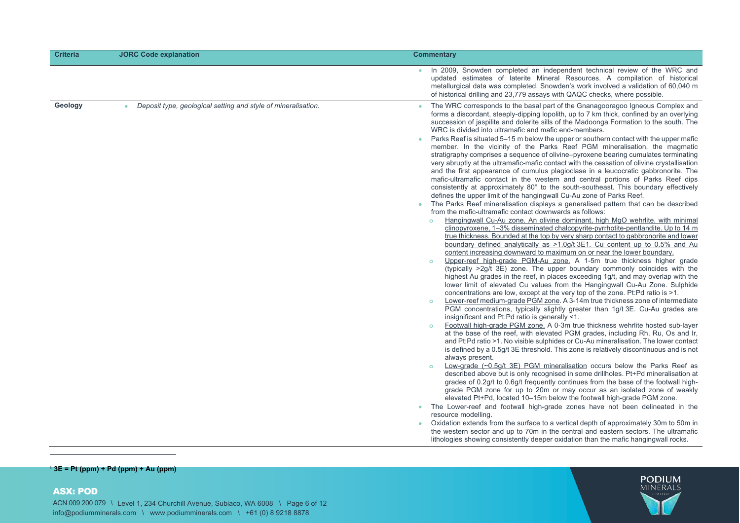| <b>Criteria</b> | <b>JORC Code explanation</b>                                               | <b>Commentary</b>                                                                                                                                                                                                                                                                                                                                                                                                                                                                                                                                                                                                                                                                                                                                                                                                                                                                                                                                                                                                                                                                                                                                                                                                                                                                                                                                                                                                                                                                                                                                                                                                                                                                                                                                                                                                                                                                                                                                                                                                                                                                                                                                                                                                                                                                                                                                                                                                                                                                                                                                                                                                                                                                                                                                                                                                                                                                                                                                                                                                                                                                                                                                                                                                                                                                                                                                                                                                                                                                |
|-----------------|----------------------------------------------------------------------------|----------------------------------------------------------------------------------------------------------------------------------------------------------------------------------------------------------------------------------------------------------------------------------------------------------------------------------------------------------------------------------------------------------------------------------------------------------------------------------------------------------------------------------------------------------------------------------------------------------------------------------------------------------------------------------------------------------------------------------------------------------------------------------------------------------------------------------------------------------------------------------------------------------------------------------------------------------------------------------------------------------------------------------------------------------------------------------------------------------------------------------------------------------------------------------------------------------------------------------------------------------------------------------------------------------------------------------------------------------------------------------------------------------------------------------------------------------------------------------------------------------------------------------------------------------------------------------------------------------------------------------------------------------------------------------------------------------------------------------------------------------------------------------------------------------------------------------------------------------------------------------------------------------------------------------------------------------------------------------------------------------------------------------------------------------------------------------------------------------------------------------------------------------------------------------------------------------------------------------------------------------------------------------------------------------------------------------------------------------------------------------------------------------------------------------------------------------------------------------------------------------------------------------------------------------------------------------------------------------------------------------------------------------------------------------------------------------------------------------------------------------------------------------------------------------------------------------------------------------------------------------------------------------------------------------------------------------------------------------------------------------------------------------------------------------------------------------------------------------------------------------------------------------------------------------------------------------------------------------------------------------------------------------------------------------------------------------------------------------------------------------------------------------------------------------------------------------------------------------|
|                 |                                                                            | In 2009, Snowden completed an independent technical review of the WRC and<br>updated estimates of laterite Mineral Resources. A compilation of historical<br>metallurgical data was completed. Snowden's work involved a validation of 60,040 m<br>of historical drilling and 23,779 assays with QAQC checks, where possible.                                                                                                                                                                                                                                                                                                                                                                                                                                                                                                                                                                                                                                                                                                                                                                                                                                                                                                                                                                                                                                                                                                                                                                                                                                                                                                                                                                                                                                                                                                                                                                                                                                                                                                                                                                                                                                                                                                                                                                                                                                                                                                                                                                                                                                                                                                                                                                                                                                                                                                                                                                                                                                                                                                                                                                                                                                                                                                                                                                                                                                                                                                                                                    |
| Geology         | Deposit type, geological setting and style of mineralisation.<br>$\bullet$ | The WRC corresponds to the basal part of the Gnanagooragoo Igneous Complex and<br>forms a discordant, steeply-dipping lopolith, up to 7 km thick, confined by an overlying<br>succession of jaspilite and dolerite sills of the Madoonga Formation to the south. The<br>WRC is divided into ultramafic and mafic end-members.<br>Parks Reef is situated 5–15 m below the upper or southern contact with the upper mafic<br>٠<br>member. In the vicinity of the Parks Reef PGM mineralisation, the magmatic<br>stratigraphy comprises a sequence of olivine-pyroxene bearing cumulates terminating<br>very abruptly at the ultramafic-mafic contact with the cessation of olivine crystallisation<br>and the first appearance of cumulus plagioclase in a leucocratic gabbronorite. The<br>mafic-ultramafic contact in the western and central portions of Parks Reef dips<br>consistently at approximately 80° to the south-southeast. This boundary effectively<br>defines the upper limit of the hangingwall Cu-Au zone of Parks Reef.<br>The Parks Reef mineralisation displays a generalised pattern that can be described<br>from the mafic-ultramafic contact downwards as follows:<br>Hangingwall Cu-Au zone. An olivine dominant, high MgO wehrlite, with minimal<br>$\circ$<br>clinopyroxene, 1-3% disseminated chalcopyrite-pyrrhotite-pentlandite. Up to 14 m<br>true thickness. Bounded at the top by very sharp contact to gabbronorite and lower<br>boundary defined analytically as >1.0g/t 3E1. Cu content up to 0.5% and Au<br>content increasing downward to maximum on or near the lower boundary.<br>Upper-reef high-grade PGM-Au zone. A 1-5m true thickness higher grade<br>$\circ$<br>(typically >2g/t 3E) zone. The upper boundary commonly coincides with the<br>highest Au grades in the reef, in places exceeding 1g/t, and may overlap with the<br>lower limit of elevated Cu values from the Hangingwall Cu-Au Zone. Sulphide<br>concentrations are low, except at the very top of the zone. Pt:Pd ratio is >1.<br>Lower-reef medium-grade PGM zone. A 3-14m true thickness zone of intermediate<br>$\circ$<br>PGM concentrations, typically slightly greater than 1g/t 3E. Cu-Au grades are<br>insignificant and Pt:Pd ratio is generally <1.<br>Footwall high-grade PGM zone. A 0-3m true thickness wehrlite hosted sub-layer<br>$\circ$<br>at the base of the reef, with elevated PGM grades, including Rh, Ru, Os and Ir,<br>and Pt:Pd ratio >1. No visible sulphides or Cu-Au mineralisation. The lower contact<br>is defined by a 0.5q/t 3E threshold. This zone is relatively discontinuous and is not<br>always present.<br>Low-grade $(-0.5q/t 3E)$ PGM mineralisation occurs below the Parks Reef as<br>$\circ$<br>described above but is only recognised in some drillholes. Pt+Pd mineralisation at<br>grades of 0.2g/t to 0.6g/t frequently continues from the base of the footwall high-<br>grade PGM zone for up to 20m or may occur as an isolated zone of weakly<br>elevated Pt+Pd, located 10-15m below the footwall high-grade PGM zone.<br>The Lower-reef and footwall high-grade zones have not been delineated in the<br>۰<br>resource modelling.<br>Oxidation extends from the surface to a vertical depth of approximately 30m to 50m in<br>۰<br>the western sector and up to 70m in the central and eastern sectors. The ultramafic<br>lithologies showing consistently deeper oxidation than the mafic hangingwall rocks. |

**<sup>1</sup> 3E = Pt (ppm) + Pd (ppm) + Au (ppm)**

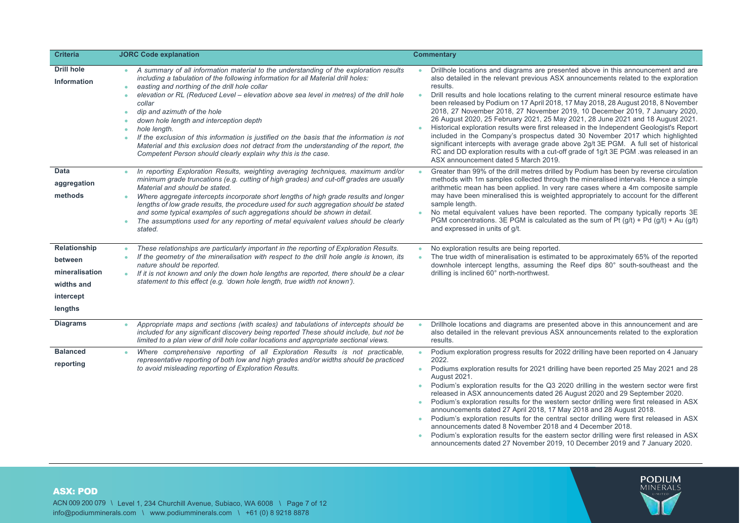| <b>Criteria</b>                                                                 | <b>JORC Code explanation</b>                                                                                                                                                                                                                                                                                                                                                                                                                                                                                                                                                                                                                                                                                                                                                   | <b>Commentary</b>                                                                                                                                                                                                                                                                                                                                                                                                                                                                                                                                                                                                                                                                                                                                                                                                                                                                                                                                          |
|---------------------------------------------------------------------------------|--------------------------------------------------------------------------------------------------------------------------------------------------------------------------------------------------------------------------------------------------------------------------------------------------------------------------------------------------------------------------------------------------------------------------------------------------------------------------------------------------------------------------------------------------------------------------------------------------------------------------------------------------------------------------------------------------------------------------------------------------------------------------------|------------------------------------------------------------------------------------------------------------------------------------------------------------------------------------------------------------------------------------------------------------------------------------------------------------------------------------------------------------------------------------------------------------------------------------------------------------------------------------------------------------------------------------------------------------------------------------------------------------------------------------------------------------------------------------------------------------------------------------------------------------------------------------------------------------------------------------------------------------------------------------------------------------------------------------------------------------|
| <b>Drill hole</b><br>Information                                                | A summary of all information material to the understanding of the exploration results<br>$\bullet$<br>including a tabulation of the following information for all Material drill holes:<br>easting and northing of the drill hole collar<br>$\bullet$<br>elevation or RL (Reduced Level - elevation above sea level in metres) of the drill hole<br>$\bullet$<br>collar<br>dip and azimuth of the hole<br>$\bullet$<br>down hole length and interception depth<br>$\bullet$<br>hole length.<br>$\bullet$<br>If the exclusion of this information is justified on the basis that the information is not<br>$\bullet$<br>Material and this exclusion does not detract from the understanding of the report, the<br>Competent Person should clearly explain why this is the case. | Drillhole locations and diagrams are presented above in this announcement and are<br>also detailed in the relevant previous ASX announcements related to the exploration<br>results.<br>Drill results and hole locations relating to the current mineral resource estimate have<br>$\bullet$<br>been released by Podium on 17 April 2018, 17 May 2018, 28 August 2018, 8 November<br>2018, 27 November 2018, 27 November 2019, 10 December 2019, 7 January 2020,<br>26 August 2020, 25 February 2021, 25 May 2021, 28 June 2021 and 18 August 2021.<br>Historical exploration results were first released in the Independent Geologist's Report<br>included in the Company's prospectus dated 30 November 2017 which highlighted<br>significant intercepts with average grade above 2g/t 3E PGM. A full set of historical<br>RC and DD exploration results with a cut-off grade of 1g/t 3E PGM .was released in an<br>ASX announcement dated 5 March 2019. |
| Data<br>aggregation<br>methods                                                  | In reporting Exploration Results, weighting averaging techniques, maximum and/or<br>$\bullet$<br>minimum grade truncations (e.g. cutting of high grades) and cut-off grades are usually<br>Material and should be stated.<br>Where aggregate intercepts incorporate short lengths of high grade results and longer<br>$\bullet$<br>lengths of low grade results, the procedure used for such aggregation should be stated<br>and some typical examples of such aggregations should be shown in detail.<br>The assumptions used for any reporting of metal equivalent values should be clearly<br>$\bullet$<br>stated.                                                                                                                                                          | Greater than 99% of the drill metres drilled by Podium has been by reverse circulation<br>$\bullet$<br>methods with 1m samples collected through the mineralised intervals. Hence a simple<br>arithmetic mean has been applied. In very rare cases where a 4m composite sample<br>may have been mineralised this is weighted appropriately to account for the different<br>sample length.<br>No metal equivalent values have been reported. The company typically reports 3E<br>$\bullet$<br>PGM concentrations. 3E PGM is calculated as the sum of Pt $(g/t)$ + Pd $(g/t)$ + Au $(g/t)$<br>and expressed in units of g/t.                                                                                                                                                                                                                                                                                                                                 |
| Relationship<br>between<br>mineralisation<br>widths and<br>intercept<br>lengths | These relationships are particularly important in the reporting of Exploration Results.<br>$\bullet$<br>If the geometry of the mineralisation with respect to the drill hole angle is known, its<br>nature should be reported.<br>If it is not known and only the down hole lengths are reported, there should be a clear<br>$\bullet$<br>statement to this effect (e.g. 'down hole length, true width not known').                                                                                                                                                                                                                                                                                                                                                            | No exploration results are being reported.<br>$\bullet$<br>The true width of mineralisation is estimated to be approximately 65% of the reported<br>$\bullet$<br>downhole intercept lengths, assuming the Reef dips 80° south-southeast and the<br>drilling is inclined 60° north-northwest.                                                                                                                                                                                                                                                                                                                                                                                                                                                                                                                                                                                                                                                               |
| <b>Diagrams</b>                                                                 | Appropriate maps and sections (with scales) and tabulations of intercepts should be<br>۰<br>included for any significant discovery being reported These should include, but not be<br>limited to a plan view of drill hole collar locations and appropriate sectional views.                                                                                                                                                                                                                                                                                                                                                                                                                                                                                                   | Drillhole locations and diagrams are presented above in this announcement and are<br>$\bullet$<br>also detailed in the relevant previous ASX announcements related to the exploration<br>results.                                                                                                                                                                                                                                                                                                                                                                                                                                                                                                                                                                                                                                                                                                                                                          |
| <b>Balanced</b><br>reporting                                                    | Where comprehensive reporting of all Exploration Results is not practicable,<br>representative reporting of both low and high grades and/or widths should be practiced<br>to avoid misleading reporting of Exploration Results.                                                                                                                                                                                                                                                                                                                                                                                                                                                                                                                                                | Podium exploration progress results for 2022 drilling have been reported on 4 January<br>$\bullet$<br>2022.<br>Podiums exploration results for 2021 drilling have been reported 25 May 2021 and 28<br>$\bullet$<br>August 2021.<br>Podium's exploration results for the Q3 2020 drilling in the western sector were first<br>$\bullet$<br>released in ASX announcements dated 26 August 2020 and 29 September 2020.<br>Podium's exploration results for the western sector drilling were first released in ASX<br>$\bullet$<br>announcements dated 27 April 2018, 17 May 2018 and 28 August 2018.<br>Podium's exploration results for the central sector drilling were first released in ASX<br>$\bullet$<br>announcements dated 8 November 2018 and 4 December 2018.<br>Podium's exploration results for the eastern sector drilling were first released in ASX<br>$\bullet$                                                                              |

ASX: POD ACN 009 200 079 \ Level 1, 234 Churchill Avenue, Subiaco, WA 6008 \ Page 7 of 12 info@podiumminerals.com \ www.podiumminerals.com \ +61 (0) 8 9218 8878

# **PODIUM**<br>MINERALS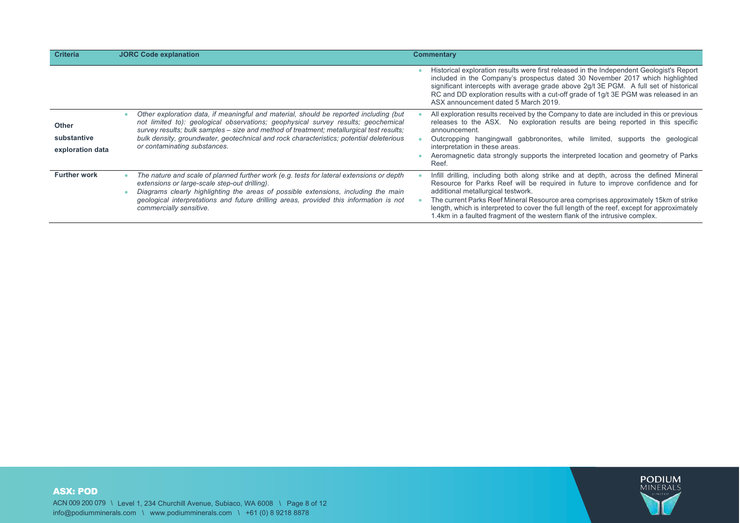| <b>Criteria</b>                                 | <b>JORC Code explanation</b>                                                                                                                                                                                                                                                                                                                                                                      | <b>Commentary</b>                                                                                                                                                                                                                                                                                                                                                                                                                                                                   |
|-------------------------------------------------|---------------------------------------------------------------------------------------------------------------------------------------------------------------------------------------------------------------------------------------------------------------------------------------------------------------------------------------------------------------------------------------------------|-------------------------------------------------------------------------------------------------------------------------------------------------------------------------------------------------------------------------------------------------------------------------------------------------------------------------------------------------------------------------------------------------------------------------------------------------------------------------------------|
|                                                 |                                                                                                                                                                                                                                                                                                                                                                                                   | Historical exploration results were first released in the Independent Geologist's Report<br>included in the Company's prospectus dated 30 November 2017 which highlighted<br>significant intercepts with average grade above 2g/t 3E PGM. A full set of historical<br>RC and DD exploration results with a cut-off grade of 1g/t 3E PGM was released in an<br>ASX announcement dated 5 March 2019.                                                                                  |
| <b>Other</b><br>substantive<br>exploration data | Other exploration data, if meaningful and material, should be reported including (but<br>not limited to): geological observations; geophysical survey results; geochemical<br>survey results; bulk samples – size and method of treatment; metallurgical test results;<br>bulk density, groundwater, geotechnical and rock characteristics; potential deleterious<br>or contaminating substances. | All exploration results received by the Company to date are included in this or previous<br>releases to the ASX. No exploration results are being reported in this specific<br>announcement.<br>Outcropping hangingwall gabbronorites, while limited, supports the geological<br>interpretation in these areas.<br>Aeromagnetic data strongly supports the interpreted location and geometry of Parks<br>Reef.                                                                      |
| <b>Further work</b>                             | The nature and scale of planned further work (e.g. tests for lateral extensions or depth<br>extensions or large-scale step-out drilling).<br>Diagrams clearly highlighting the areas of possible extensions, including the main<br>geological interpretations and future drilling areas, provided this information is not<br>commercially sensitive.                                              | Infill drilling, including both along strike and at depth, across the defined Mineral<br>Resource for Parks Reef will be required in future to improve confidence and for<br>additional metallurgical testwork.<br>The current Parks Reef Mineral Resource area comprises approximately 15km of strike<br>length, which is interpreted to cover the full length of the reef, except for approximately<br>1.4km in a faulted fragment of the western flank of the intrusive complex. |

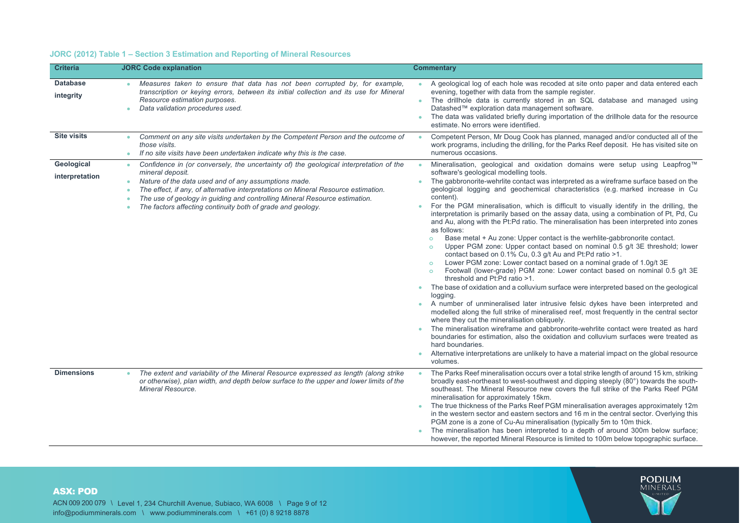# **JORC (2012) Table 1 – Section 3 Estimation and Reporting of Mineral Resources**

| <b>Criteria</b>              | <b>JORC Code explanation</b>                                                                                                                                                                                                                                                                                                                                                                                            | <b>Commentary</b>                                                                                                                                                                                                                                                                                                                                                                                                                                                                                                                                                                                                                                                                                                                                                                                                                                                                                                                                                                                                                                                                                                                                                                                                                                                                                                                                                                                                                                                                                                                                                                                                                                                                                                                               |
|------------------------------|-------------------------------------------------------------------------------------------------------------------------------------------------------------------------------------------------------------------------------------------------------------------------------------------------------------------------------------------------------------------------------------------------------------------------|-------------------------------------------------------------------------------------------------------------------------------------------------------------------------------------------------------------------------------------------------------------------------------------------------------------------------------------------------------------------------------------------------------------------------------------------------------------------------------------------------------------------------------------------------------------------------------------------------------------------------------------------------------------------------------------------------------------------------------------------------------------------------------------------------------------------------------------------------------------------------------------------------------------------------------------------------------------------------------------------------------------------------------------------------------------------------------------------------------------------------------------------------------------------------------------------------------------------------------------------------------------------------------------------------------------------------------------------------------------------------------------------------------------------------------------------------------------------------------------------------------------------------------------------------------------------------------------------------------------------------------------------------------------------------------------------------------------------------------------------------|
| <b>Database</b><br>integrity | Measures taken to ensure that data has not been corrupted by, for example,<br>transcription or keying errors, between its initial collection and its use for Mineral<br>Resource estimation purposes.<br>Data validation procedures used.                                                                                                                                                                               | A geological log of each hole was recoded at site onto paper and data entered each<br>evening, together with data from the sample register.<br>The drillhole data is currently stored in an SQL database and managed using<br>۰<br>Datashed™ exploration data management software.<br>The data was validated briefly during importation of the drillhole data for the resource<br>estimate. No errors were identified.                                                                                                                                                                                                                                                                                                                                                                                                                                                                                                                                                                                                                                                                                                                                                                                                                                                                                                                                                                                                                                                                                                                                                                                                                                                                                                                          |
| <b>Site visits</b>           | Comment on any site visits undertaken by the Competent Person and the outcome of<br>$\bullet$<br>those visits.<br>If no site visits have been undertaken indicate why this is the case.<br>$\bullet$                                                                                                                                                                                                                    | Competent Person, Mr Doug Cook has planned, managed and/or conducted all of the<br>$\bullet$<br>work programs, including the drilling, for the Parks Reef deposit. He has visited site on<br>numerous occasions.                                                                                                                                                                                                                                                                                                                                                                                                                                                                                                                                                                                                                                                                                                                                                                                                                                                                                                                                                                                                                                                                                                                                                                                                                                                                                                                                                                                                                                                                                                                                |
| Geological<br>interpretation | Confidence in (or conversely, the uncertainty of) the geological interpretation of the<br>$\bullet$<br>mineral deposit.<br>Nature of the data used and of any assumptions made.<br>۰<br>The effect, if any, of alternative interpretations on Mineral Resource estimation.<br>The use of geology in guiding and controlling Mineral Resource estimation.<br>The factors affecting continuity both of grade and geology. | Mineralisation, geological and oxidation domains were setup using Leapfrog™<br>software's geological modelling tools.<br>The gabbronorite-wehrlite contact was interpreted as a wireframe surface based on the<br>$\bullet$<br>geological logging and geochemical characteristics (e.g. marked increase in Cu<br>content).<br>For the PGM mineralisation, which is difficult to visually identify in the drilling, the<br>interpretation is primarily based on the assay data, using a combination of Pt, Pd, Cu<br>and Au, along with the Pt:Pd ratio. The mineralisation has been interpreted into zones<br>as follows:<br>Base metal + Au zone: Upper contact is the werhlite-gabbronorite contact.<br>$\circ$<br>Upper PGM zone: Upper contact based on nominal 0.5 g/t 3E threshold; lower<br>$\circ$<br>contact based on 0.1% Cu, 0.3 g/t Au and Pt:Pd ratio >1.<br>Lower PGM zone: Lower contact based on a nominal grade of 1.0g/t 3E<br>$\circ$<br>Footwall (lower-grade) PGM zone: Lower contact based on nominal 0.5 g/t 3E<br>$\circ$<br>threshold and Pt:Pd ratio >1.<br>The base of oxidation and a colluvium surface were interpreted based on the geological<br>۰<br>logging.<br>A number of unmineralised later intrusive felsic dykes have been interpreted and<br>٠<br>modelled along the full strike of mineralised reef, most frequently in the central sector<br>where they cut the mineralisation obliquely.<br>The mineralisation wireframe and gabbronorite-wehrlite contact were treated as hard<br>boundaries for estimation, also the oxidation and colluvium surfaces were treated as<br>hard boundaries.<br>Alternative interpretations are unlikely to have a material impact on the global resource<br>volumes. |
| <b>Dimensions</b>            | The extent and variability of the Mineral Resource expressed as length (along strike<br>$\bullet$<br>or otherwise), plan width, and depth below surface to the upper and lower limits of the<br>Mineral Resource.                                                                                                                                                                                                       | The Parks Reef mineralisation occurs over a total strike length of around 15 km, striking<br>$\bullet$<br>broadly east-northeast to west-southwest and dipping steeply (80°) towards the south-<br>southeast. The Mineral Resource new covers the full strike of the Parks Reef PGM<br>mineralisation for approximately 15km.<br>The true thickness of the Parks Reef PGM mineralisation averages approximately 12m<br>in the western sector and eastern sectors and 16 m in the central sector. Overlying this<br>PGM zone is a zone of Cu-Au mineralisation (typically 5m to 10m thick.<br>The mineralisation has been interpreted to a depth of around 300m below surface;<br>however, the reported Mineral Resource is limited to 100m below topographic surface.                                                                                                                                                                                                                                                                                                                                                                                                                                                                                                                                                                                                                                                                                                                                                                                                                                                                                                                                                                           |

# ASX: POD

ACN 009 200 079 \ Level 1, 234 Churchill Avenue, Subiaco, WA 6008 \ Page 9 of 12 info@podiumminerals.com \ www.podiumminerals.com \ +61 (0) 8 9218 8878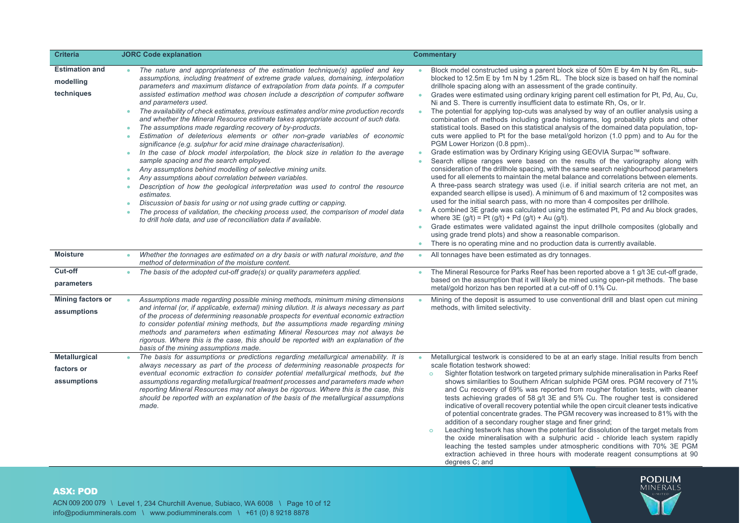| <b>Criteria</b>                                   | <b>JORC Code explanation</b>                                                                                                                                                                                                                                                                                                                                                                                                                                                                                                                                                                                                                                                                                                                                                                                                                                                                                                                                                                                                                                                                                                                                                                                                                                                                                                                                                                             | <b>Commentary</b>                                                                                                                                                                                                                                                                                                                                                                                                                                                                                                                                                                                                                                                                                                                                                                                                                                                                                                                                                                                                                                                                                                                                                                                                                                                                                                                                                                                                                                                                                                                                                                                                                                                                                                                                                                                                                                                                         |
|---------------------------------------------------|----------------------------------------------------------------------------------------------------------------------------------------------------------------------------------------------------------------------------------------------------------------------------------------------------------------------------------------------------------------------------------------------------------------------------------------------------------------------------------------------------------------------------------------------------------------------------------------------------------------------------------------------------------------------------------------------------------------------------------------------------------------------------------------------------------------------------------------------------------------------------------------------------------------------------------------------------------------------------------------------------------------------------------------------------------------------------------------------------------------------------------------------------------------------------------------------------------------------------------------------------------------------------------------------------------------------------------------------------------------------------------------------------------|-------------------------------------------------------------------------------------------------------------------------------------------------------------------------------------------------------------------------------------------------------------------------------------------------------------------------------------------------------------------------------------------------------------------------------------------------------------------------------------------------------------------------------------------------------------------------------------------------------------------------------------------------------------------------------------------------------------------------------------------------------------------------------------------------------------------------------------------------------------------------------------------------------------------------------------------------------------------------------------------------------------------------------------------------------------------------------------------------------------------------------------------------------------------------------------------------------------------------------------------------------------------------------------------------------------------------------------------------------------------------------------------------------------------------------------------------------------------------------------------------------------------------------------------------------------------------------------------------------------------------------------------------------------------------------------------------------------------------------------------------------------------------------------------------------------------------------------------------------------------------------------------|
| <b>Estimation and</b><br>modelling<br>techniques  | The nature and appropriateness of the estimation technique(s) applied and key<br>assumptions, including treatment of extreme grade values, domaining, interpolation<br>parameters and maximum distance of extrapolation from data points. If a computer<br>assisted estimation method was chosen include a description of computer software<br>and parameters used.<br>The availability of check estimates, previous estimates and/or mine production records<br>and whether the Mineral Resource estimate takes appropriate account of such data.<br>The assumptions made regarding recovery of by-products.<br>Estimation of deleterious elements or other non-grade variables of economic<br>٠<br>significance (e.g. sulphur for acid mine drainage characterisation).<br>In the case of block model interpolation, the block size in relation to the average<br>$\bullet$<br>sample spacing and the search employed.<br>Any assumptions behind modelling of selective mining units.<br>٠<br>Any assumptions about correlation between variables.<br>٠<br>Description of how the geological interpretation was used to control the resource<br>۰<br>estimates.<br>Discussion of basis for using or not using grade cutting or capping.<br>٠<br>The process of validation, the checking process used, the comparison of model data<br>to drill hole data, and use of reconciliation data if available. | Block model constructed using a parent block size of 50m E by 4m N by 6m RL, sub-<br>blocked to 12.5m E by 1m N by 1.25m RL. The block size is based on half the nominal<br>drillhole spacing along with an assessment of the grade continuity.<br>Grades were estimated using ordinary kriging parent cell estimation for Pt, Pd, Au, Cu,<br>$\bullet$<br>Ni and S. There is currently insufficient data to estimate Rh, Os, or Ir.<br>The potential for applying top-cuts was analysed by way of an outlier analysis using a<br>$\bullet$<br>combination of methods including grade histograms, log probability plots and other<br>statistical tools. Based on this statistical analysis of the domained data population, top-<br>cuts were applied to Pt for the base metal/gold horizon (1.0 ppm) and to Au for the<br>PGM Lower Horizon (0.8 ppm)<br>Grade estimation was by Ordinary Kriging using GEOVIA Surpac™ software.<br>$\bullet$<br>Search ellipse ranges were based on the results of the variography along with<br>consideration of the drillhole spacing, with the same search neighbourhood parameters<br>used for all elements to maintain the metal balance and correlations between elements.<br>A three-pass search strategy was used (i.e. if initial search criteria are not met, an<br>expanded search ellipse is used). A minimum of 6 and maximum of 12 composites was<br>used for the initial search pass, with no more than 4 composites per drillhole.<br>A combined 3E grade was calculated using the estimated Pt, Pd and Au block grades,<br>$\bullet$<br>where $3E(g/t) = Pt(g/t) + Pd(g/t) + Au(g/t)$ .<br>Grade estimates were validated against the input drillhole composites (globally and<br>$\bullet$<br>using grade trend plots) and show a reasonable comparison.<br>There is no operating mine and no production data is currently available. |
| <b>Moisture</b>                                   | Whether the tonnages are estimated on a dry basis or with natural moisture, and the<br>method of determination of the moisture content.                                                                                                                                                                                                                                                                                                                                                                                                                                                                                                                                                                                                                                                                                                                                                                                                                                                                                                                                                                                                                                                                                                                                                                                                                                                                  | All tonnages have been estimated as dry tonnages.<br>$\bullet$                                                                                                                                                                                                                                                                                                                                                                                                                                                                                                                                                                                                                                                                                                                                                                                                                                                                                                                                                                                                                                                                                                                                                                                                                                                                                                                                                                                                                                                                                                                                                                                                                                                                                                                                                                                                                            |
| Cut-off<br>parameters                             | The basis of the adopted cut-off grade(s) or quality parameters applied.<br>$\bullet$                                                                                                                                                                                                                                                                                                                                                                                                                                                                                                                                                                                                                                                                                                                                                                                                                                                                                                                                                                                                                                                                                                                                                                                                                                                                                                                    | The Mineral Resource for Parks Reef has been reported above a 1 g/t 3E cut-off grade,<br>based on the assumption that it will likely be mined using open-pit methods. The base<br>metal/gold horizon has ben reported at a cut-off of 0.1% Cu.                                                                                                                                                                                                                                                                                                                                                                                                                                                                                                                                                                                                                                                                                                                                                                                                                                                                                                                                                                                                                                                                                                                                                                                                                                                                                                                                                                                                                                                                                                                                                                                                                                            |
| <b>Mining factors or</b><br>assumptions           | Assumptions made regarding possible mining methods, minimum mining dimensions<br>and internal (or, if applicable, external) mining dilution. It is always necessary as part<br>of the process of determining reasonable prospects for eventual economic extraction<br>to consider potential mining methods, but the assumptions made regarding mining<br>methods and parameters when estimating Mineral Resources may not always be<br>rigorous. Where this is the case, this should be reported with an explanation of the<br>basis of the mining assumptions made.                                                                                                                                                                                                                                                                                                                                                                                                                                                                                                                                                                                                                                                                                                                                                                                                                                     | Mining of the deposit is assumed to use conventional drill and blast open cut mining<br>methods, with limited selectivity.                                                                                                                                                                                                                                                                                                                                                                                                                                                                                                                                                                                                                                                                                                                                                                                                                                                                                                                                                                                                                                                                                                                                                                                                                                                                                                                                                                                                                                                                                                                                                                                                                                                                                                                                                                |
| <b>Metallurgical</b><br>factors or<br>assumptions | The basis for assumptions or predictions regarding metallurgical amenability. It is<br>always necessary as part of the process of determining reasonable prospects for<br>eventual economic extraction to consider potential metallurgical methods, but the<br>assumptions regarding metallurgical treatment processes and parameters made when<br>reporting Mineral Resources may not always be rigorous. Where this is the case, this<br>should be reported with an explanation of the basis of the metallurgical assumptions<br>made.                                                                                                                                                                                                                                                                                                                                                                                                                                                                                                                                                                                                                                                                                                                                                                                                                                                                 | Metallurgical testwork is considered to be at an early stage. Initial results from bench<br>scale flotation testwork showed:<br>Sighter flotation testwork on targeted primary sulphide mineralisation in Parks Reef<br>$\circ$<br>shows similarities to Southern African sulphide PGM ores. PGM recovery of 71%<br>and Cu recovery of 69% was reported from rougher flotation tests, with cleaner<br>tests achieving grades of 58 g/t 3E and 5% Cu. The rougher test is considered<br>indicative of overall recovery potential while the open circuit cleaner tests indicative<br>of potential concentrate grades. The PGM recovery was increased to 81% with the<br>addition of a secondary rougher stage and finer grind;<br>Leaching testwork has shown the potential for dissolution of the target metals from<br>$\circ$<br>the oxide mineralisation with a sulphuric acid - chloride leach system rapidly<br>leaching the tested samples under atmospheric conditions with 70% 3E PGM<br>extraction achieved in three hours with moderate reagent consumptions at 90<br>degrees C; and                                                                                                                                                                                                                                                                                                                                                                                                                                                                                                                                                                                                                                                                                                                                                                                             |

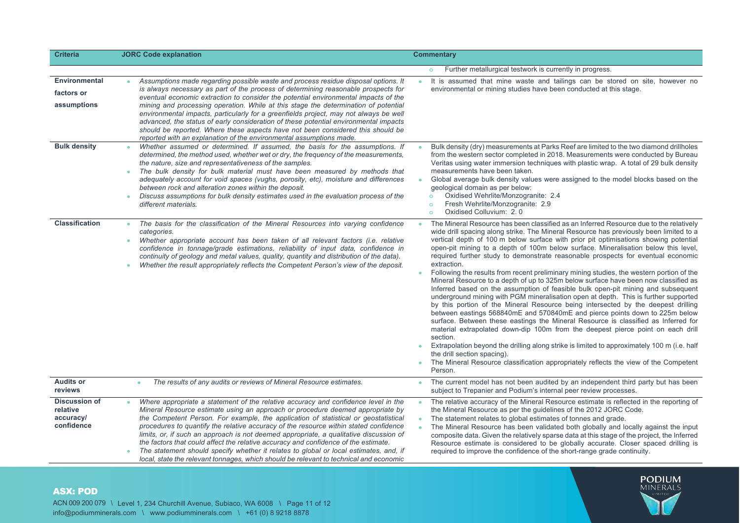| <b>Criteria</b>                                             | <b>JORC Code explanation</b>                                                                                                                                                                                                                                                                                                                                                                                                                                                                                                                                                                                                                                                                                             | <b>Commentary</b>                                                                                                                                                                                                                                                                                                                                                                                                                                                                                                                                                                                                                                                                                                                                                                                                                                                                                                                                                                                                                                                                                                                                                                                                                                                                                                                                                                                                                                             |
|-------------------------------------------------------------|--------------------------------------------------------------------------------------------------------------------------------------------------------------------------------------------------------------------------------------------------------------------------------------------------------------------------------------------------------------------------------------------------------------------------------------------------------------------------------------------------------------------------------------------------------------------------------------------------------------------------------------------------------------------------------------------------------------------------|---------------------------------------------------------------------------------------------------------------------------------------------------------------------------------------------------------------------------------------------------------------------------------------------------------------------------------------------------------------------------------------------------------------------------------------------------------------------------------------------------------------------------------------------------------------------------------------------------------------------------------------------------------------------------------------------------------------------------------------------------------------------------------------------------------------------------------------------------------------------------------------------------------------------------------------------------------------------------------------------------------------------------------------------------------------------------------------------------------------------------------------------------------------------------------------------------------------------------------------------------------------------------------------------------------------------------------------------------------------------------------------------------------------------------------------------------------------|
|                                                             |                                                                                                                                                                                                                                                                                                                                                                                                                                                                                                                                                                                                                                                                                                                          | Further metallurgical testwork is currently in progress.                                                                                                                                                                                                                                                                                                                                                                                                                                                                                                                                                                                                                                                                                                                                                                                                                                                                                                                                                                                                                                                                                                                                                                                                                                                                                                                                                                                                      |
| <b>Environmental</b><br>factors or<br>assumptions           | Assumptions made regarding possible waste and process residue disposal options. It<br>is always necessary as part of the process of determining reasonable prospects for<br>eventual economic extraction to consider the potential environmental impacts of the<br>mining and processing operation. While at this stage the determination of potential<br>environmental impacts, particularly for a greenfields project, may not always be well<br>advanced, the status of early consideration of these potential environmental impacts<br>should be reported. Where these aspects have not been considered this should be<br>reported with an explanation of the environmental assumptions made.                        | It is assumed that mine waste and tailings can be stored on site, however no<br>environmental or mining studies have been conducted at this stage.                                                                                                                                                                                                                                                                                                                                                                                                                                                                                                                                                                                                                                                                                                                                                                                                                                                                                                                                                                                                                                                                                                                                                                                                                                                                                                            |
| <b>Bulk density</b>                                         | Whether assumed or determined. If assumed, the basis for the assumptions. If<br>determined, the method used, whether wet or dry, the frequency of the measurements,<br>the nature, size and representativeness of the samples.<br>The bulk density for bulk material must have been measured by methods that<br>adequately account for void spaces (vughs, porosity, etc), moisture and differences<br>between rock and alteration zones within the deposit.<br>Discuss assumptions for bulk density estimates used in the evaluation process of the<br>۰<br>different materials.                                                                                                                                        | Bulk density (dry) measurements at Parks Reef are limited to the two diamond drillholes<br>from the western sector completed in 2018. Measurements were conducted by Bureau<br>Veritas using water immersion techniques with plastic wrap. A total of 29 bulk density<br>measurements have been taken.<br>Global average bulk density values were assigned to the model blocks based on the<br>٠<br>geological domain as per below:<br>Oxidised Wehrlite/Monzogranite: 2.4<br>$\circ$<br>Fresh Wehrlite/Monzogranite: 2.9<br>$\circ$<br>Oxidised Colluvium: 2.0<br>$\circ$                                                                                                                                                                                                                                                                                                                                                                                                                                                                                                                                                                                                                                                                                                                                                                                                                                                                                    |
| <b>Classification</b>                                       | The basis for the classification of the Mineral Resources into varying confidence<br>categories.<br>Whether appropriate account has been taken of all relevant factors (i.e. relative<br>٠<br>confidence in tonnage/grade estimations, reliability of input data, confidence in<br>continuity of geology and metal values, quality, quantity and distribution of the data).<br>Whether the result appropriately reflects the Competent Person's view of the deposit.                                                                                                                                                                                                                                                     | The Mineral Resource has been classified as an Inferred Resource due to the relatively<br>$\bullet$<br>wide drill spacing along strike. The Mineral Resource has previously been limited to a<br>vertical depth of 100 m below surface with prior pit optimisations showing potential<br>open-pit mining to a depth of 100m below surface. Mineralisation below this level,<br>required further study to demonstrate reasonable prospects for eventual economic<br>extraction.<br>Following the results from recent preliminary mining studies, the western portion of the<br>$\bullet$<br>Mineral Resource to a depth of up to 325m below surface have been now classified as<br>Inferred based on the assumption of feasible bulk open-pit mining and subsequent<br>underground mining with PGM mineralisation open at depth. This is further supported<br>by this portion of the Mineral Resource being intersected by the deepest drilling<br>between eastings 568840mE and 570840mE and pierce points down to 225m below<br>surface. Between these eastings the Mineral Resource is classified as Inferred for<br>material extrapolated down-dip 100m from the deepest pierce point on each drill<br>section.<br>Extrapolation beyond the drilling along strike is limited to approximately 100 m (i.e. half<br>۰<br>the drill section spacing).<br>The Mineral Resource classification appropriately reflects the view of the Competent<br>٠<br>Person. |
| <b>Audits or</b><br>reviews                                 | The results of any audits or reviews of Mineral Resource estimates.<br>٠                                                                                                                                                                                                                                                                                                                                                                                                                                                                                                                                                                                                                                                 | The current model has not been audited by an independent third party but has been<br>۰<br>subject to Trepanier and Podium's internal peer review processes.                                                                                                                                                                                                                                                                                                                                                                                                                                                                                                                                                                                                                                                                                                                                                                                                                                                                                                                                                                                                                                                                                                                                                                                                                                                                                                   |
| <b>Discussion of</b><br>relative<br>accuracy/<br>confidence | Where appropriate a statement of the relative accuracy and confidence level in the<br>Mineral Resource estimate using an approach or procedure deemed appropriate by<br>the Competent Person. For example, the application of statistical or geostatistical<br>procedures to quantify the relative accuracy of the resource within stated confidence<br>limits, or, if such an approach is not deemed appropriate, a qualitative discussion of<br>the factors that could affect the relative accuracy and confidence of the estimate.<br>The statement should specify whether it relates to global or local estimates, and, if<br>local, state the relevant tonnages, which should be relevant to technical and economic | The relative accuracy of the Mineral Resource estimate is reflected in the reporting of<br>٠<br>the Mineral Resource as per the guidelines of the 2012 JORC Code.<br>The statement relates to global estimates of tonnes and grade.<br>$\bullet$<br>The Mineral Resource has been validated both globally and locally against the input<br>$\bullet$<br>composite data. Given the relatively sparse data at this stage of the project, the Inferred<br>Resource estimate is considered to be globally accurate. Closer spaced drilling is<br>required to improve the confidence of the short-range grade continuity.                                                                                                                                                                                                                                                                                                                                                                                                                                                                                                                                                                                                                                                                                                                                                                                                                                          |